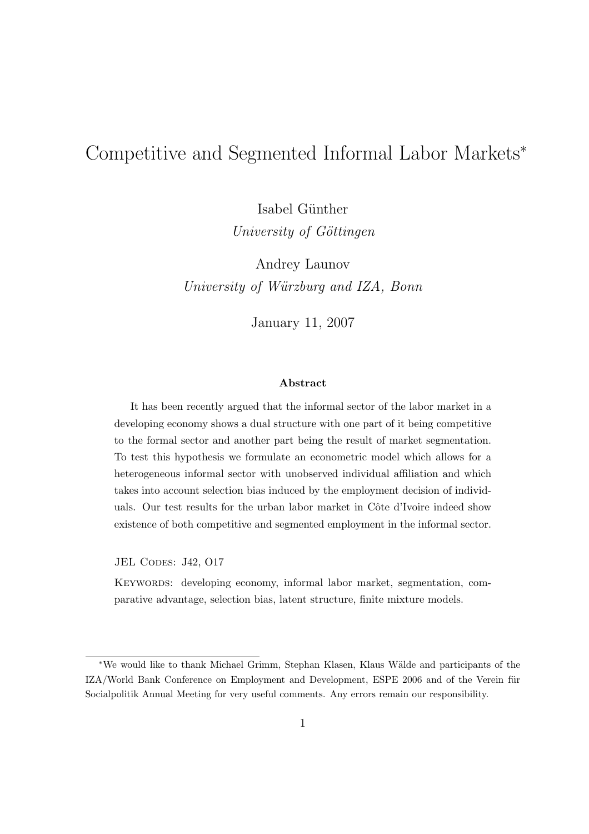# Competitive and Segmented Informal Labor Markets<sup>∗</sup>

Isabel Günther University of Göttingen

Andrey Launov University of Würzburg and IZA, Bonn

January 11, 2007

#### Abstract

It has been recently argued that the informal sector of the labor market in a developing economy shows a dual structure with one part of it being competitive to the formal sector and another part being the result of market segmentation. To test this hypothesis we formulate an econometric model which allows for a heterogeneous informal sector with unobserved individual affiliation and which takes into account selection bias induced by the employment decision of individuals. Our test results for the urban labor market in Côte d'Ivoire indeed show existence of both competitive and segmented employment in the informal sector.

JEL CODES: J42, O17

Keywords: developing economy, informal labor market, segmentation, comparative advantage, selection bias, latent structure, finite mixture models.

<sup>∗</sup>We would like to thank Michael Grimm, Stephan Klasen, Klaus W¨alde and participants of the IZA/World Bank Conference on Employment and Development, ESPE 2006 and of the Verein für Socialpolitik Annual Meeting for very useful comments. Any errors remain our responsibility.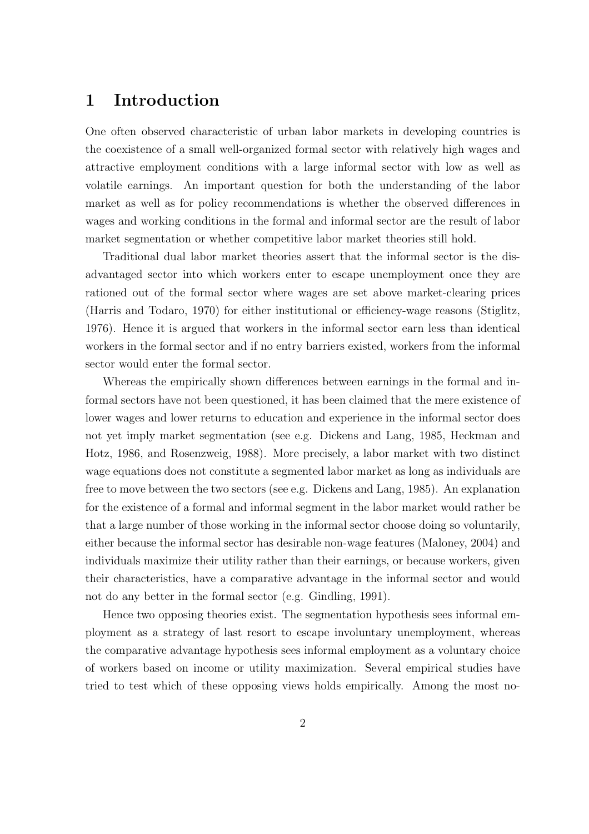## 1 Introduction

One often observed characteristic of urban labor markets in developing countries is the coexistence of a small well-organized formal sector with relatively high wages and attractive employment conditions with a large informal sector with low as well as volatile earnings. An important question for both the understanding of the labor market as well as for policy recommendations is whether the observed differences in wages and working conditions in the formal and informal sector are the result of labor market segmentation or whether competitive labor market theories still hold.

Traditional dual labor market theories assert that the informal sector is the disadvantaged sector into which workers enter to escape unemployment once they are rationed out of the formal sector where wages are set above market-clearing prices (Harris and Todaro, 1970) for either institutional or efficiency-wage reasons (Stiglitz, 1976). Hence it is argued that workers in the informal sector earn less than identical workers in the formal sector and if no entry barriers existed, workers from the informal sector would enter the formal sector.

Whereas the empirically shown differences between earnings in the formal and informal sectors have not been questioned, it has been claimed that the mere existence of lower wages and lower returns to education and experience in the informal sector does not yet imply market segmentation (see e.g. Dickens and Lang, 1985, Heckman and Hotz, 1986, and Rosenzweig, 1988). More precisely, a labor market with two distinct wage equations does not constitute a segmented labor market as long as individuals are free to move between the two sectors (see e.g. Dickens and Lang, 1985). An explanation for the existence of a formal and informal segment in the labor market would rather be that a large number of those working in the informal sector choose doing so voluntarily, either because the informal sector has desirable non-wage features (Maloney, 2004) and individuals maximize their utility rather than their earnings, or because workers, given their characteristics, have a comparative advantage in the informal sector and would not do any better in the formal sector (e.g. Gindling, 1991).

Hence two opposing theories exist. The segmentation hypothesis sees informal employment as a strategy of last resort to escape involuntary unemployment, whereas the comparative advantage hypothesis sees informal employment as a voluntary choice of workers based on income or utility maximization. Several empirical studies have tried to test which of these opposing views holds empirically. Among the most no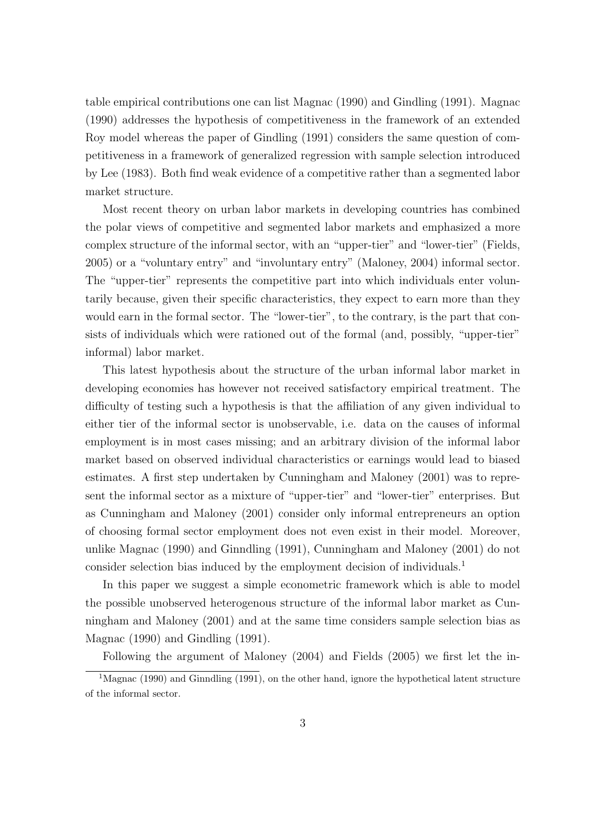table empirical contributions one can list Magnac (1990) and Gindling (1991). Magnac (1990) addresses the hypothesis of competitiveness in the framework of an extended Roy model whereas the paper of Gindling (1991) considers the same question of competitiveness in a framework of generalized regression with sample selection introduced by Lee (1983). Both find weak evidence of a competitive rather than a segmented labor market structure.

Most recent theory on urban labor markets in developing countries has combined the polar views of competitive and segmented labor markets and emphasized a more complex structure of the informal sector, with an "upper-tier" and "lower-tier" (Fields, 2005) or a "voluntary entry" and "involuntary entry" (Maloney, 2004) informal sector. The "upper-tier" represents the competitive part into which individuals enter voluntarily because, given their specific characteristics, they expect to earn more than they would earn in the formal sector. The "lower-tier", to the contrary, is the part that consists of individuals which were rationed out of the formal (and, possibly, "upper-tier" informal) labor market.

This latest hypothesis about the structure of the urban informal labor market in developing economies has however not received satisfactory empirical treatment. The difficulty of testing such a hypothesis is that the affiliation of any given individual to either tier of the informal sector is unobservable, i.e. data on the causes of informal employment is in most cases missing; and an arbitrary division of the informal labor market based on observed individual characteristics or earnings would lead to biased estimates. A first step undertaken by Cunningham and Maloney (2001) was to represent the informal sector as a mixture of "upper-tier" and "lower-tier" enterprises. But as Cunningham and Maloney (2001) consider only informal entrepreneurs an option of choosing formal sector employment does not even exist in their model. Moreover, unlike Magnac (1990) and Ginndling (1991), Cunningham and Maloney (2001) do not consider selection bias induced by the employment decision of individuals.<sup>1</sup>

In this paper we suggest a simple econometric framework which is able to model the possible unobserved heterogenous structure of the informal labor market as Cunningham and Maloney (2001) and at the same time considers sample selection bias as Magnac (1990) and Gindling (1991).

Following the argument of Maloney (2004) and Fields (2005) we first let the in-

<sup>&</sup>lt;sup>1</sup>Magnac (1990) and Ginndling (1991), on the other hand, ignore the hypothetical latent structure of the informal sector.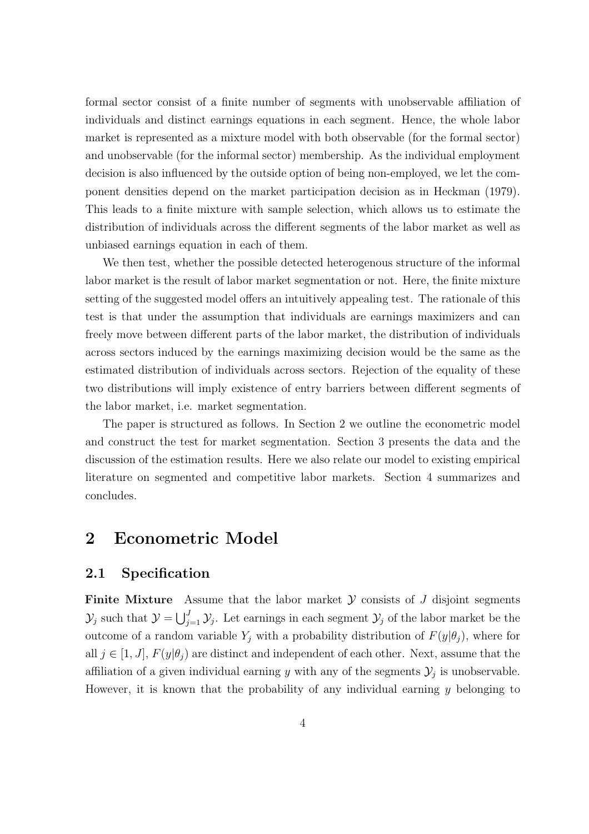formal sector consist of a finite number of segments with unobservable affiliation of individuals and distinct earnings equations in each segment. Hence, the whole labor market is represented as a mixture model with both observable (for the formal sector) and unobservable (for the informal sector) membership. As the individual employment decision is also influenced by the outside option of being non-employed, we let the component densities depend on the market participation decision as in Heckman (1979). This leads to a finite mixture with sample selection, which allows us to estimate the distribution of individuals across the different segments of the labor market as well as unbiased earnings equation in each of them.

We then test, whether the possible detected heterogenous structure of the informal labor market is the result of labor market segmentation or not. Here, the finite mixture setting of the suggested model offers an intuitively appealing test. The rationale of this test is that under the assumption that individuals are earnings maximizers and can freely move between different parts of the labor market, the distribution of individuals across sectors induced by the earnings maximizing decision would be the same as the estimated distribution of individuals across sectors. Rejection of the equality of these two distributions will imply existence of entry barriers between different segments of the labor market, i.e. market segmentation.

The paper is structured as follows. In Section 2 we outline the econometric model and construct the test for market segmentation. Section 3 presents the data and the discussion of the estimation results. Here we also relate our model to existing empirical literature on segmented and competitive labor markets. Section 4 summarizes and concludes.

### 2 Econometric Model

#### 2.1 Specification

**Finite Mixture** Assume that the labor market  $\mathcal Y$  consists of  $J$  disjoint segments  $\mathcal{Y}_j$  such that  $\mathcal{Y} = \bigcup_{i=1}^{J}$  $\mathcal{Y}_{j=1}$   $\mathcal{Y}_{j}$ . Let earnings in each segment  $\mathcal{Y}_{j}$  of the labor market be the outcome of a random variable  $Y_i$  with a probability distribution of  $F(y|\theta_i)$ , where for all  $j \in [1, J], F(y|\theta_i)$  are distinct and independent of each other. Next, assume that the affiliation of a given individual earning y with any of the segments  $\mathcal{Y}_j$  is unobservable. However, it is known that the probability of any individual earning  $\gamma$  belonging to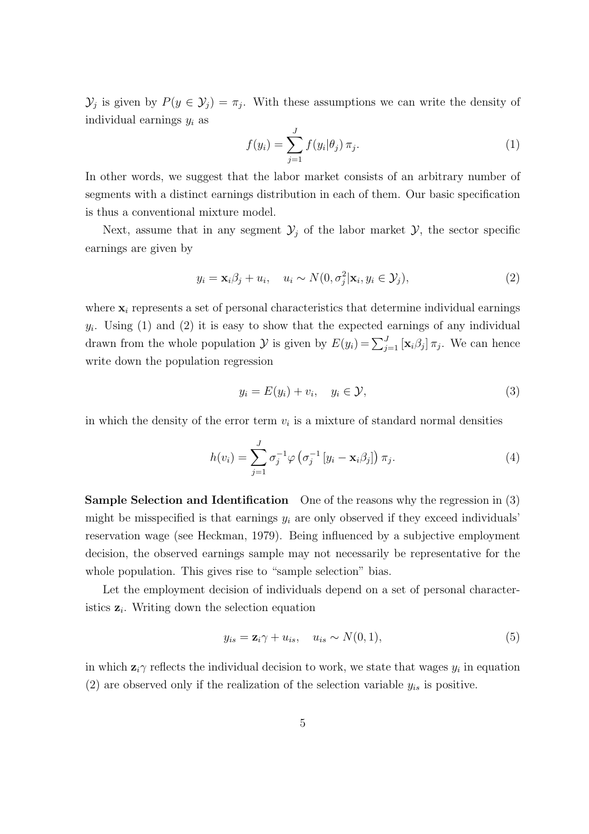$\mathcal{Y}_j$  is given by  $P(y \in \mathcal{Y}_j) = \pi_j$ . With these assumptions we can write the density of individual earnings  $y_i$  as

$$
f(y_i) = \sum_{j=1}^{J} f(y_i | \theta_j) \, \pi_j.
$$
 (1)

In other words, we suggest that the labor market consists of an arbitrary number of segments with a distinct earnings distribution in each of them. Our basic specification is thus a conventional mixture model.

Next, assume that in any segment  $\mathcal{Y}_j$  of the labor market  $\mathcal{Y}_j$ , the sector specific earnings are given by

$$
y_i = \mathbf{x}_i \beta_j + u_i, \quad u_i \sim N(0, \sigma_j^2 | \mathbf{x}_i, y_i \in \mathcal{Y}_j), \tag{2}
$$

where  $x_i$  represents a set of personal characteristics that determine individual earnings  $y_i$ . Using (1) and (2) it is easy to show that the expected earnings of any individual drawn from the whole population  $\mathcal Y$  is given by  $E(y_i) = \sum_{j=1}^J [\mathbf{x}_i \beta_j] \pi_j$ . We can hence write down the population regression

$$
y_i = E(y_i) + v_i, \quad y_i \in \mathcal{Y}, \tag{3}
$$

in which the density of the error term  $v_i$  is a mixture of standard normal densities

$$
h(v_i) = \sum_{j=1}^{J} \sigma_j^{-1} \varphi \left( \sigma_j^{-1} \left[ y_i - \mathbf{x}_i \beta_j \right] \right) \pi_j.
$$
 (4)

Sample Selection and Identification One of the reasons why the regression in (3) might be misspecified is that earnings  $y_i$  are only observed if they exceed individuals' reservation wage (see Heckman, 1979). Being influenced by a subjective employment decision, the observed earnings sample may not necessarily be representative for the whole population. This gives rise to "sample selection" bias.

Let the employment decision of individuals depend on a set of personal characteristics  $z_i$ . Writing down the selection equation

$$
y_{is} = \mathbf{z}_i \gamma + u_{is}, \quad u_{is} \sim N(0, 1), \tag{5}
$$

in which  $z_i \gamma$  reflects the individual decision to work, we state that wages  $y_i$  in equation (2) are observed only if the realization of the selection variable  $y_{is}$  is positive.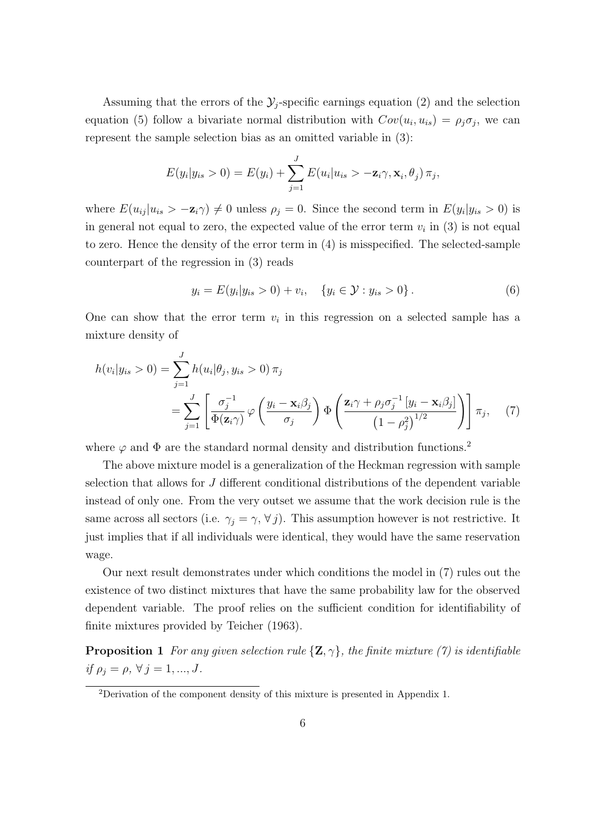Assuming that the errors of the  $\mathcal{Y}_j$ -specific earnings equation (2) and the selection equation (5) follow a bivariate normal distribution with  $Cov(u_i, u_{is}) = \rho_i \sigma_j$ , we can represent the sample selection bias as an omitted variable in (3):

$$
E(y_i|y_{is} > 0) = E(y_i) + \sum_{j=1}^{J} E(u_i|u_{is} > -\mathbf{z}_i\gamma, \mathbf{x}_i, \theta_j) \pi_j,
$$

where  $E(u_{ij}|u_{is} > -\mathbf{z}_i\gamma) \neq 0$  unless  $\rho_j = 0$ . Since the second term in  $E(y_i|y_{is} > 0)$  is in general not equal to zero, the expected value of the error term  $v_i$  in (3) is not equal to zero. Hence the density of the error term in (4) is misspecified. The selected-sample counterpart of the regression in (3) reads

$$
y_i = E(y_i | y_{is} > 0) + v_i, \quad \{y_i \in \mathcal{Y} : y_{is} > 0\}.
$$
 (6)

One can show that the error term  $v_i$  in this regression on a selected sample has a mixture density of

$$
h(v_i|y_{is} > 0) = \sum_{j=1}^{J} h(u_i|\theta_j, y_{is} > 0) \pi_j
$$
  
= 
$$
\sum_{j=1}^{J} \left[ \frac{\sigma_j^{-1}}{\Phi(\mathbf{z}_i \gamma)} \varphi \left( \frac{y_i - \mathbf{x}_i \beta_j}{\sigma_j} \right) \Phi \left( \frac{\mathbf{z}_i \gamma + \rho_j \sigma_j^{-1} [y_i - \mathbf{x}_i \beta_j]}{(1 - \rho_j^2)^{1/2}} \right) \right] \pi_j,
$$
 (7)

where  $\varphi$  and  $\Phi$  are the standard normal density and distribution functions.<sup>2</sup>

The above mixture model is a generalization of the Heckman regression with sample selection that allows for J different conditional distributions of the dependent variable instead of only one. From the very outset we assume that the work decision rule is the same across all sectors (i.e.  $\gamma_j = \gamma, \forall j$ ). This assumption however is not restrictive. It just implies that if all individuals were identical, they would have the same reservation wage.

Our next result demonstrates under which conditions the model in (7) rules out the existence of two distinct mixtures that have the same probability law for the observed dependent variable. The proof relies on the sufficient condition for identifiability of finite mixtures provided by Teicher (1963).

**Proposition 1** For any given selection rule  $\{Z, \gamma\}$ , the finite mixture (7) is identifiable if  $\rho_j = \rho, \,\forall \, j = 1, ..., J.$ 

<sup>2</sup>Derivation of the component density of this mixture is presented in Appendix 1.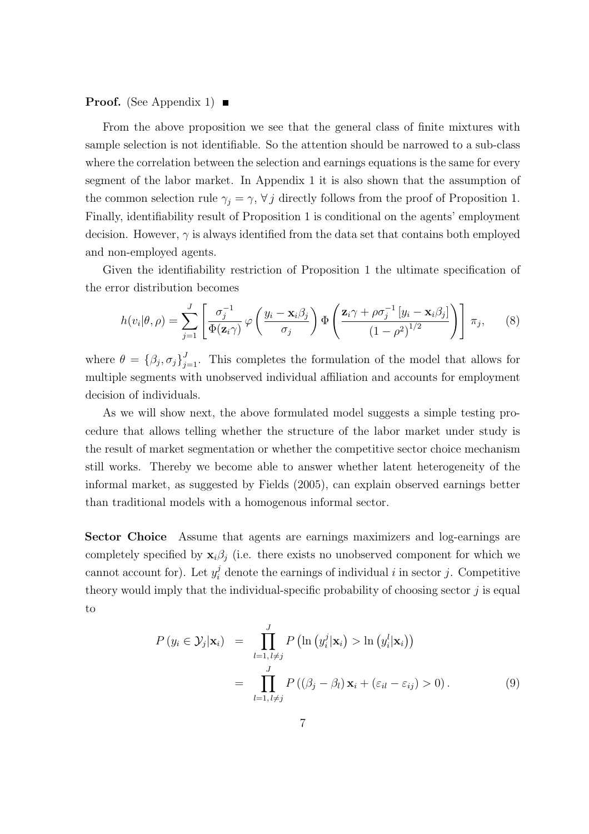#### **Proof.** (See Appendix 1)  $\blacksquare$

From the above proposition we see that the general class of finite mixtures with sample selection is not identifiable. So the attention should be narrowed to a sub-class where the correlation between the selection and earnings equations is the same for every segment of the labor market. In Appendix 1 it is also shown that the assumption of the common selection rule  $\gamma_j = \gamma$ ,  $\forall j$  directly follows from the proof of Proposition 1. Finally, identifiability result of Proposition 1 is conditional on the agents' employment decision. However,  $\gamma$  is always identified from the data set that contains both employed and non-employed agents.

Given the identifiability restriction of Proposition 1 the ultimate specification of the error distribution becomes

$$
h(v_i|\theta,\rho) = \sum_{j=1}^J \left[ \frac{\sigma_j^{-1}}{\Phi(\mathbf{z}_i \gamma)} \varphi\left(\frac{y_i - \mathbf{x}_i \beta_j}{\sigma_j}\right) \Phi\left(\frac{\mathbf{z}_i \gamma + \rho \sigma_j^{-1} \left[y_i - \mathbf{x}_i \beta_j\right]}{\left(1 - \rho^2\right)^{1/2}}\right) \right] \pi_j, \tag{8}
$$

where  $\theta = {\beta_j, \sigma_j}_{j=1}^J$ . This completes the formulation of the model that allows for multiple segments with unobserved individual affiliation and accounts for employment decision of individuals.

As we will show next, the above formulated model suggests a simple testing procedure that allows telling whether the structure of the labor market under study is the result of market segmentation or whether the competitive sector choice mechanism still works. Thereby we become able to answer whether latent heterogeneity of the informal market, as suggested by Fields (2005), can explain observed earnings better than traditional models with a homogenous informal sector.

Sector Choice Assume that agents are earnings maximizers and log-earnings are completely specified by  $\mathbf{x}_i\beta_j$  (i.e. there exists no unobserved component for which we cannot account for). Let  $y_i^j$  denote the earnings of individual i in sector j. Competitive theory would imply that the individual-specific probability of choosing sector  $j$  is equal to

$$
P(y_i \in \mathcal{Y}_j | \mathbf{x}_i) = \prod_{l=1, l \neq j}^{J} P\left(\ln\left(y_i^j | \mathbf{x}_i\right) > \ln\left(y_i^l | \mathbf{x}_i\right)\right)
$$

$$
= \prod_{l=1, l \neq j}^{J} P\left((\beta_j - \beta_l) \mathbf{x}_i + (\varepsilon_{il} - \varepsilon_{ij}) > 0\right).
$$
(9)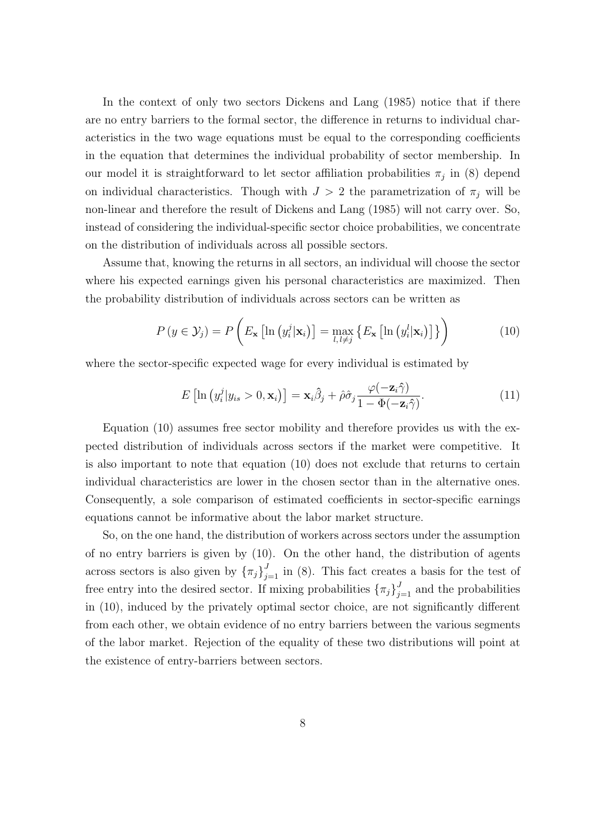In the context of only two sectors Dickens and Lang (1985) notice that if there are no entry barriers to the formal sector, the difference in returns to individual characteristics in the two wage equations must be equal to the corresponding coefficients in the equation that determines the individual probability of sector membership. In our model it is straightforward to let sector affiliation probabilities  $\pi_j$  in (8) depend on individual characteristics. Though with  $J > 2$  the parametrization of  $\pi_j$  will be non-linear and therefore the result of Dickens and Lang (1985) will not carry over. So, instead of considering the individual-specific sector choice probabilities, we concentrate on the distribution of individuals across all possible sectors.

Assume that, knowing the returns in all sectors, an individual will choose the sector where his expected earnings given his personal characteristics are maximized. Then the probability distribution of individuals across sectors can be written as

$$
P(y \in \mathcal{Y}_j) = P\left(E_{\mathbf{x}}\left[\ln\left(y_i^j|\mathbf{x}_i\right)\right] = \max_{l,\ l \neq j} \left\{E_{\mathbf{x}}\left[\ln\left(y_i^l|\mathbf{x}_i\right)\right]\right\}\right) \tag{10}
$$

where the sector-specific expected wage for every individual is estimated by

$$
E\left[\ln\left(y_i^j|y_{is} > 0, \mathbf{x}_i\right)\right] = \mathbf{x}_i \hat{\beta}_j + \hat{\rho} \hat{\sigma}_j \frac{\varphi(-\mathbf{z}_i \hat{\gamma})}{1 - \Phi(-\mathbf{z}_i \hat{\gamma})}.
$$
(11)

Equation (10) assumes free sector mobility and therefore provides us with the expected distribution of individuals across sectors if the market were competitive. It is also important to note that equation (10) does not exclude that returns to certain individual characteristics are lower in the chosen sector than in the alternative ones. Consequently, a sole comparison of estimated coefficients in sector-specific earnings equations cannot be informative about the labor market structure.

So, on the one hand, the distribution of workers across sectors under the assumption of no entry barriers is given by (10). On the other hand, the distribution of agents across sectors is also given by  $\{\pi_j\}_{j=1}^J$  in (8). This fact creates a basis for the test of free entry into the desired sector. If mixing probabilities  $\{\pi_j\}_{j=1}^J$  and the probabilities in (10), induced by the privately optimal sector choice, are not significantly different from each other, we obtain evidence of no entry barriers between the various segments of the labor market. Rejection of the equality of these two distributions will point at the existence of entry-barriers between sectors.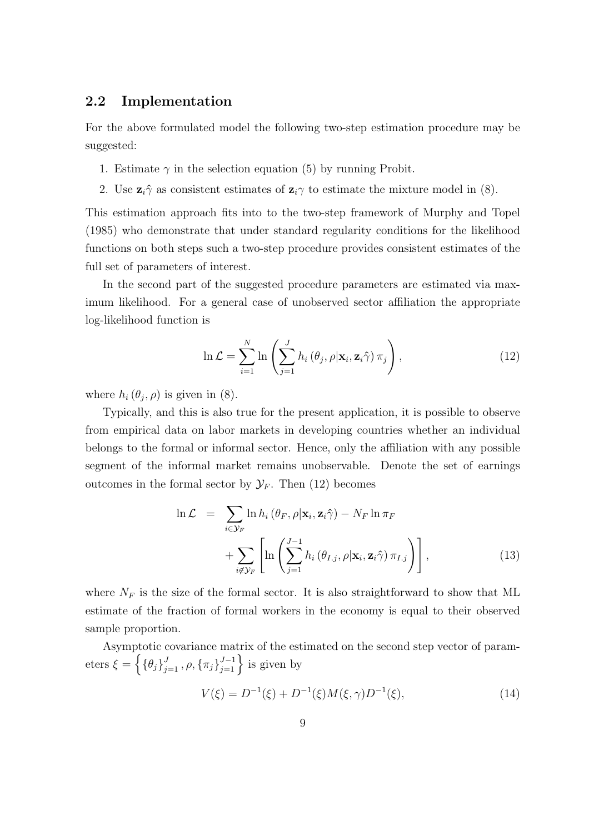#### 2.2 Implementation

For the above formulated model the following two-step estimation procedure may be suggested:

- 1. Estimate  $\gamma$  in the selection equation (5) by running Probit.
- 2. Use  $\mathbf{z}_i \hat{\gamma}$  as consistent estimates of  $\mathbf{z}_i \gamma$  to estimate the mixture model in (8).

This estimation approach fits into to the two-step framework of Murphy and Topel (1985) who demonstrate that under standard regularity conditions for the likelihood functions on both steps such a two-step procedure provides consistent estimates of the full set of parameters of interest.

In the second part of the suggested procedure parameters are estimated via maximum likelihood. For a general case of unobserved sector affiliation the appropriate log-likelihood function is

$$
\ln \mathcal{L} = \sum_{i=1}^{N} \ln \left( \sum_{j=1}^{J} h_i \left( \theta_j, \rho | \mathbf{x}_i, \mathbf{z}_i \hat{\gamma} \right) \pi_j \right), \tag{12}
$$

where  $h_i(\theta_j, \rho)$  is given in (8).

Typically, and this is also true for the present application, it is possible to observe from empirical data on labor markets in developing countries whether an individual belongs to the formal or informal sector. Hence, only the affiliation with any possible segment of the informal market remains unobservable. Denote the set of earnings outcomes in the formal sector by  $\mathcal{Y}_F$ . Then (12) becomes

$$
\ln \mathcal{L} = \sum_{i \in \mathcal{Y}_F} \ln h_i \left( \theta_F, \rho | \mathbf{x}_i, \mathbf{z}_i \hat{\gamma} \right) - N_F \ln \pi_F + \sum_{i \notin \mathcal{Y}_F} \left[ \ln \left( \sum_{j=1}^{J-1} h_i \left( \theta_{I,j}, \rho | \mathbf{x}_i, \mathbf{z}_i \hat{\gamma} \right) \pi_{I,j} \right) \right],
$$
(13)

where  $N_F$  is the size of the formal sector. It is also straightforward to show that ML estimate of the fraction of formal workers in the economy is equal to their observed sample proportion.

Asymptotic covariance matrix of the estimated on the second step vector of parameters  $\xi = \left\{ {\{\theta_j\}}_{j=1}^J, \rho, {\{\pi_j\}}_{j=1}^{J-1} \right\}$ matrix of the est<br> $J^{-1}_{j=1}$  is given by

$$
V(\xi) = D^{-1}(\xi) + D^{-1}(\xi)M(\xi, \gamma)D^{-1}(\xi),
$$
\n(14)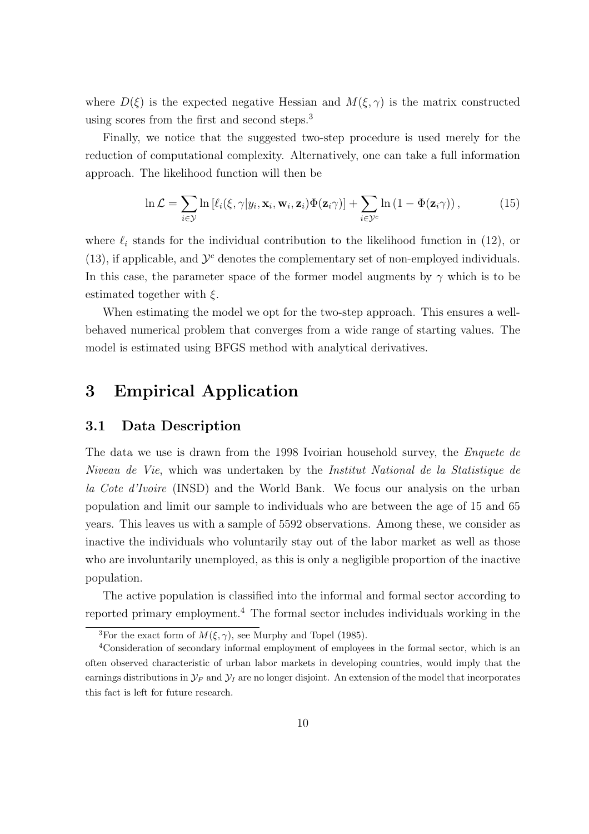where  $D(\xi)$  is the expected negative Hessian and  $M(\xi, \gamma)$  is the matrix constructed using scores from the first and second steps.<sup>3</sup>

Finally, we notice that the suggested two-step procedure is used merely for the reduction of computational complexity. Alternatively, one can take a full information approach. The likelihood function will then be

$$
\ln \mathcal{L} = \sum_{i \in \mathcal{Y}} \ln \left[ \ell_i(\xi, \gamma | y_i, \mathbf{x}_i, \mathbf{w}_i, \mathbf{z}_i) \Phi(\mathbf{z}_i \gamma) \right] + \sum_{i \in \mathcal{Y}^c} \ln \left( 1 - \Phi(\mathbf{z}_i \gamma) \right), \tag{15}
$$

where  $\ell_i$  stands for the individual contribution to the likelihood function in (12), or (13), if applicable, and  $\mathcal{Y}^c$  denotes the complementary set of non-employed individuals. In this case, the parameter space of the former model augments by  $\gamma$  which is to be estimated together with  $\xi$ .

When estimating the model we opt for the two-step approach. This ensures a wellbehaved numerical problem that converges from a wide range of starting values. The model is estimated using BFGS method with analytical derivatives.

## 3 Empirical Application

#### 3.1 Data Description

The data we use is drawn from the 1998 Ivoirian household survey, the *Enquete de* Niveau de Vie, which was undertaken by the Institut National de la Statistique de la Cote d'Ivoire (INSD) and the World Bank. We focus our analysis on the urban population and limit our sample to individuals who are between the age of 15 and 65 years. This leaves us with a sample of 5592 observations. Among these, we consider as inactive the individuals who voluntarily stay out of the labor market as well as those who are involuntarily unemployed, as this is only a negligible proportion of the inactive population.

The active population is classified into the informal and formal sector according to reported primary employment.<sup>4</sup> The formal sector includes individuals working in the

<sup>&</sup>lt;sup>3</sup>For the exact form of  $M(\xi, \gamma)$ , see Murphy and Topel (1985).

<sup>&</sup>lt;sup>4</sup>Consideration of secondary informal employment of employees in the formal sector, which is an often observed characteristic of urban labor markets in developing countries, would imply that the earnings distributions in  $\mathcal{Y}_F$  and  $\mathcal{Y}_I$  are no longer disjoint. An extension of the model that incorporates this fact is left for future research.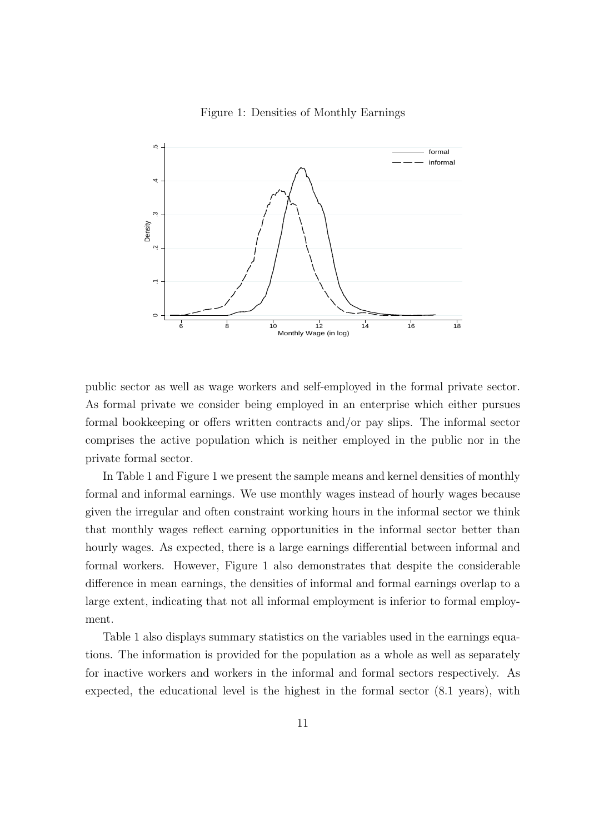

Figure 1: Densities of Monthly Earnings

public sector as well as wage workers and self-employed in the formal private sector. As formal private we consider being employed in an enterprise which either pursues formal bookkeeping or offers written contracts and/or pay slips. The informal sector comprises the active population which is neither employed in the public nor in the private formal sector.

In Table 1 and Figure 1 we present the sample means and kernel densities of monthly formal and informal earnings. We use monthly wages instead of hourly wages because given the irregular and often constraint working hours in the informal sector we think that monthly wages reflect earning opportunities in the informal sector better than hourly wages. As expected, there is a large earnings differential between informal and formal workers. However, Figure 1 also demonstrates that despite the considerable difference in mean earnings, the densities of informal and formal earnings overlap to a large extent, indicating that not all informal employment is inferior to formal employment.

Table 1 also displays summary statistics on the variables used in the earnings equations. The information is provided for the population as a whole as well as separately for inactive workers and workers in the informal and formal sectors respectively. As expected, the educational level is the highest in the formal sector (8.1 years), with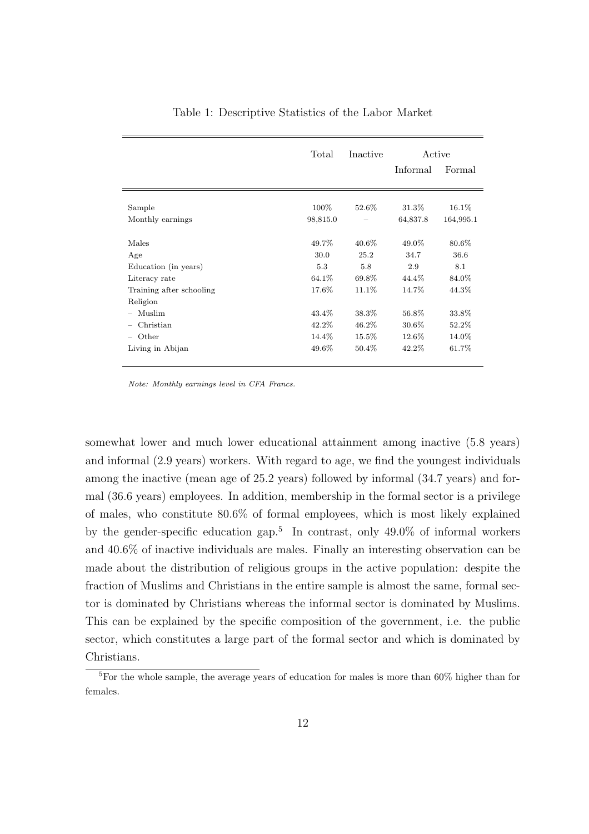|                                    | Total    | Inactive | Active   |           |
|------------------------------------|----------|----------|----------|-----------|
|                                    |          |          | Informal | Formal    |
|                                    |          |          |          |           |
| Sample                             | $100\%$  | 52.6%    | 31.3%    | $16.1\%$  |
| Monthly earnings                   | 98,815.0 |          | 64,837.8 | 164,995.1 |
| Males                              | 49.7%    | $40.6\%$ | 49.0%    | 80.6%     |
| Age                                | 30.0     | 25.2     | 34.7     | 36.6      |
| Education (in years)               | 5.3      | 5.8      | 2.9      | 8.1       |
| Literacy rate                      | 64.1\%   | 69.8%    | 44.4%    | 84.0%     |
| Training after schooling           | 17.6%    | 11.1\%   | 14.7%    | 44.3%     |
| Religion                           |          |          |          |           |
| Muslim<br>$\overline{\phantom{m}}$ | 43.4%    | 38.3%    | 56.8%    | 33.8%     |
| Christian                          | 42.2%    | 46.2%    | 30.6%    | 52.2%     |
| Other<br>$\overline{\phantom{m}}$  | 14.4%    | 15.5%    | 12.6%    | 14.0%     |
| Living in Abijan                   | 49.6%    | 50.4%    | 42.2%    | 61.7%     |

Table 1: Descriptive Statistics of the Labor Market

Note: Monthly earnings level in CFA Francs.

somewhat lower and much lower educational attainment among inactive (5.8 years) and informal (2.9 years) workers. With regard to age, we find the youngest individuals among the inactive (mean age of 25.2 years) followed by informal (34.7 years) and formal (36.6 years) employees. In addition, membership in the formal sector is a privilege of males, who constitute 80.6% of formal employees, which is most likely explained by the gender-specific education gap.<sup>5</sup> In contrast, only 49.0% of informal workers and 40.6% of inactive individuals are males. Finally an interesting observation can be made about the distribution of religious groups in the active population: despite the fraction of Muslims and Christians in the entire sample is almost the same, formal sector is dominated by Christians whereas the informal sector is dominated by Muslims. This can be explained by the specific composition of the government, i.e. the public sector, which constitutes a large part of the formal sector and which is dominated by Christians.

<sup>5</sup>For the whole sample, the average years of education for males is more than 60% higher than for females.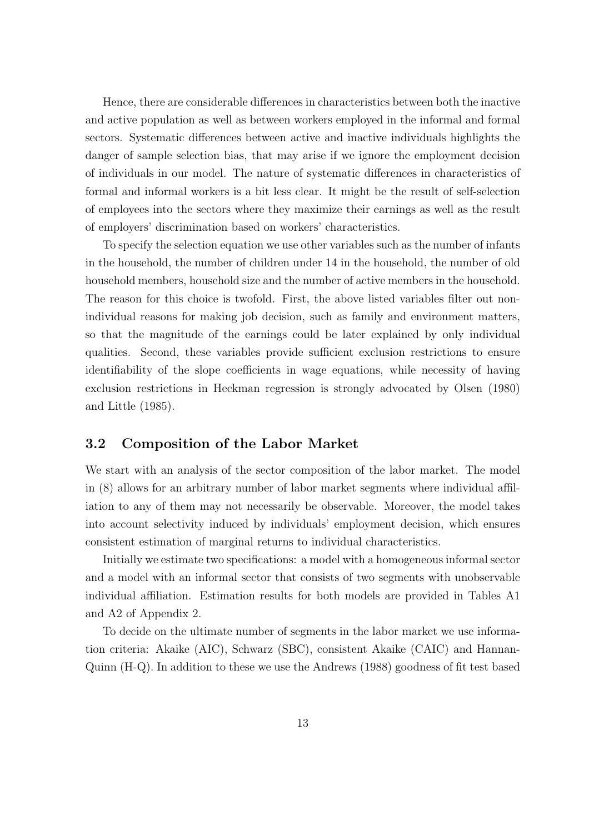Hence, there are considerable differences in characteristics between both the inactive and active population as well as between workers employed in the informal and formal sectors. Systematic differences between active and inactive individuals highlights the danger of sample selection bias, that may arise if we ignore the employment decision of individuals in our model. The nature of systematic differences in characteristics of formal and informal workers is a bit less clear. It might be the result of self-selection of employees into the sectors where they maximize their earnings as well as the result of employers' discrimination based on workers' characteristics.

To specify the selection equation we use other variables such as the number of infants in the household, the number of children under 14 in the household, the number of old household members, household size and the number of active members in the household. The reason for this choice is twofold. First, the above listed variables filter out nonindividual reasons for making job decision, such as family and environment matters, so that the magnitude of the earnings could be later explained by only individual qualities. Second, these variables provide sufficient exclusion restrictions to ensure identifiability of the slope coefficients in wage equations, while necessity of having exclusion restrictions in Heckman regression is strongly advocated by Olsen (1980) and Little (1985).

#### 3.2 Composition of the Labor Market

We start with an analysis of the sector composition of the labor market. The model in (8) allows for an arbitrary number of labor market segments where individual affiliation to any of them may not necessarily be observable. Moreover, the model takes into account selectivity induced by individuals' employment decision, which ensures consistent estimation of marginal returns to individual characteristics.

Initially we estimate two specifications: a model with a homogeneous informal sector and a model with an informal sector that consists of two segments with unobservable individual affiliation. Estimation results for both models are provided in Tables A1 and A2 of Appendix 2.

To decide on the ultimate number of segments in the labor market we use information criteria: Akaike (AIC), Schwarz (SBC), consistent Akaike (CAIC) and Hannan-Quinn (H-Q). In addition to these we use the Andrews (1988) goodness of fit test based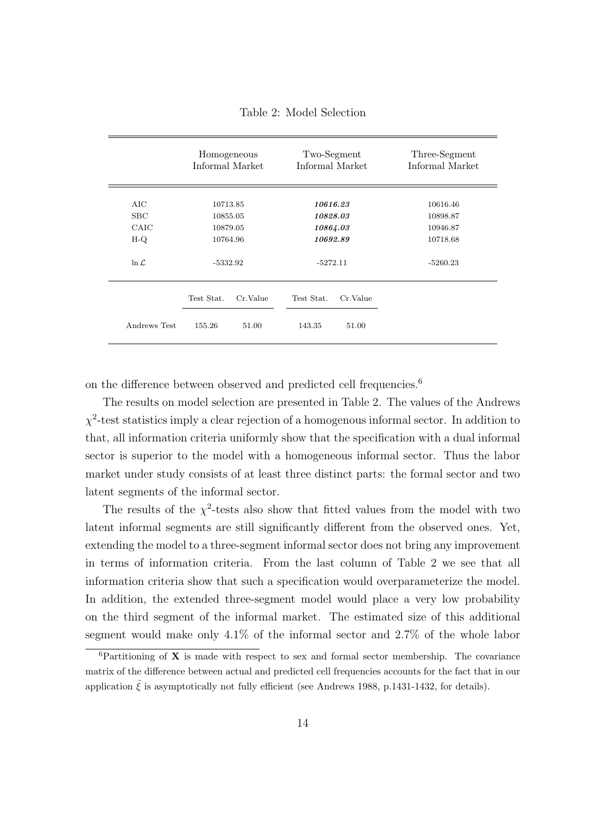|                   | Homogeneous<br>Informal Market |          | Two-Segment<br>Informal Market |          | Three-Segment<br>Informal Market |
|-------------------|--------------------------------|----------|--------------------------------|----------|----------------------------------|
| AIC               | 10713.85                       |          | 10616.23                       |          | 10616.46                         |
| SBC               | 10855.05                       |          | 10828.03                       |          | 10898.87                         |
| CAIC              | 10879.05                       |          | 10864.03                       |          | 10946.87                         |
| $H-Q$             | 10764.96                       |          | 10692.89                       |          | 10718.68                         |
| $\ln \mathcal{L}$ | $-5332.92$                     |          | $-5272.11$                     |          | $-5260.23$                       |
|                   | Test Stat.                     | Cr.Value | Test Stat.                     | Cr.Value |                                  |
| Andrews Test      | 155.26                         | 51.00    | 143.35                         | 51.00    |                                  |

Table 2: Model Selection

on the difference between observed and predicted cell frequencies.<sup>6</sup>

The results on model selection are presented in Table 2. The values of the Andrews  $\chi^2$ -test statistics imply a clear rejection of a homogenous informal sector. In addition to that, all information criteria uniformly show that the specification with a dual informal sector is superior to the model with a homogeneous informal sector. Thus the labor market under study consists of at least three distinct parts: the formal sector and two latent segments of the informal sector.

The results of the  $\chi^2$ -tests also show that fitted values from the model with two latent informal segments are still significantly different from the observed ones. Yet, extending the model to a three-segment informal sector does not bring any improvement in terms of information criteria. From the last column of Table 2 we see that all information criteria show that such a specification would overparameterize the model. In addition, the extended three-segment model would place a very low probability on the third segment of the informal market. The estimated size of this additional segment would make only 4.1% of the informal sector and 2.7% of the whole labor

 ${}^{6}$ Partitioning of **X** is made with respect to sex and formal sector membership. The covariance matrix of the difference between actual and predicted cell frequencies accounts for the fact that in our application  $\hat{\xi}$  is asymptotically not fully efficient (see Andrews 1988, p.1431-1432, for details).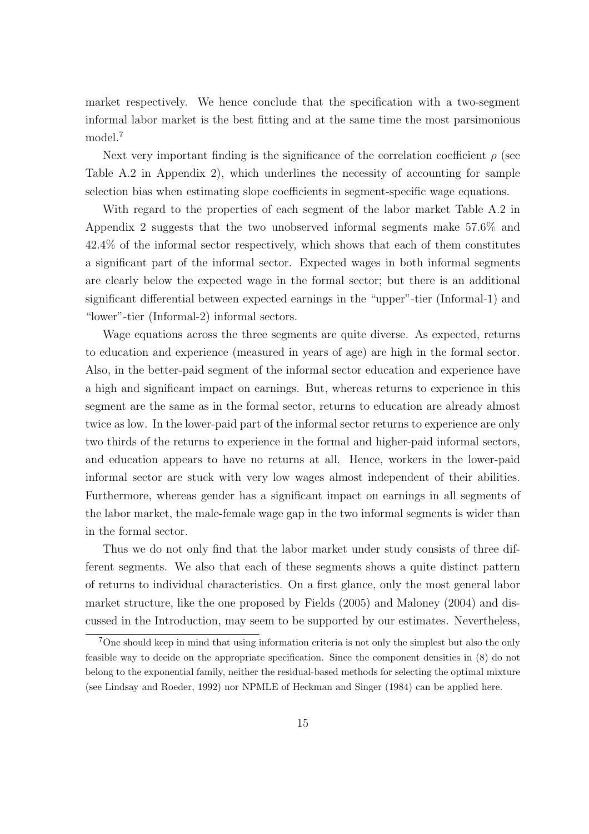market respectively. We hence conclude that the specification with a two-segment informal labor market is the best fitting and at the same time the most parsimonious model.<sup>7</sup>

Next very important finding is the significance of the correlation coefficient  $\rho$  (see Table A.2 in Appendix 2), which underlines the necessity of accounting for sample selection bias when estimating slope coefficients in segment-specific wage equations.

With regard to the properties of each segment of the labor market Table A.2 in Appendix 2 suggests that the two unobserved informal segments make 57.6% and 42.4% of the informal sector respectively, which shows that each of them constitutes a significant part of the informal sector. Expected wages in both informal segments are clearly below the expected wage in the formal sector; but there is an additional significant differential between expected earnings in the "upper"-tier (Informal-1) and "lower"-tier (Informal-2) informal sectors.

Wage equations across the three segments are quite diverse. As expected, returns to education and experience (measured in years of age) are high in the formal sector. Also, in the better-paid segment of the informal sector education and experience have a high and significant impact on earnings. But, whereas returns to experience in this segment are the same as in the formal sector, returns to education are already almost twice as low. In the lower-paid part of the informal sector returns to experience are only two thirds of the returns to experience in the formal and higher-paid informal sectors, and education appears to have no returns at all. Hence, workers in the lower-paid informal sector are stuck with very low wages almost independent of their abilities. Furthermore, whereas gender has a significant impact on earnings in all segments of the labor market, the male-female wage gap in the two informal segments is wider than in the formal sector.

Thus we do not only find that the labor market under study consists of three different segments. We also that each of these segments shows a quite distinct pattern of returns to individual characteristics. On a first glance, only the most general labor market structure, like the one proposed by Fields (2005) and Maloney (2004) and discussed in the Introduction, may seem to be supported by our estimates. Nevertheless,

<sup>&</sup>lt;sup>7</sup>One should keep in mind that using information criteria is not only the simplest but also the only feasible way to decide on the appropriate specification. Since the component densities in (8) do not belong to the exponential family, neither the residual-based methods for selecting the optimal mixture (see Lindsay and Roeder, 1992) nor NPMLE of Heckman and Singer (1984) can be applied here.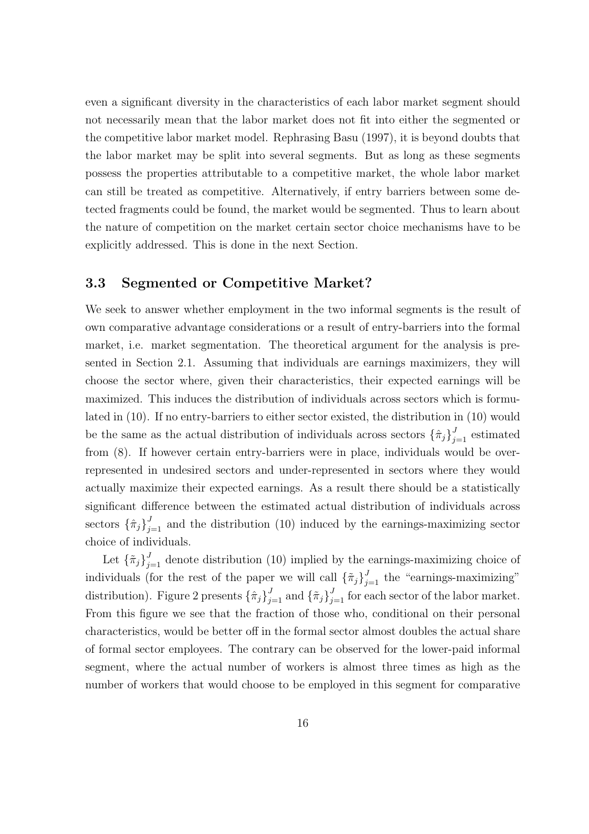even a significant diversity in the characteristics of each labor market segment should not necessarily mean that the labor market does not fit into either the segmented or the competitive labor market model. Rephrasing Basu (1997), it is beyond doubts that the labor market may be split into several segments. But as long as these segments possess the properties attributable to a competitive market, the whole labor market can still be treated as competitive. Alternatively, if entry barriers between some detected fragments could be found, the market would be segmented. Thus to learn about the nature of competition on the market certain sector choice mechanisms have to be explicitly addressed. This is done in the next Section.

### 3.3 Segmented or Competitive Market?

We seek to answer whether employment in the two informal segments is the result of own comparative advantage considerations or a result of entry-barriers into the formal market, i.e. market segmentation. The theoretical argument for the analysis is presented in Section 2.1. Assuming that individuals are earnings maximizers, they will choose the sector where, given their characteristics, their expected earnings will be maximized. This induces the distribution of individuals across sectors which is formulated in (10). If no entry-barriers to either sector existed, the distribution in (10) would be the same as the actual distribution of individuals across sectors  $\{\hat{\pi}_j\}_{j=1}^J$  estimated from (8). If however certain entry-barriers were in place, individuals would be overrepresented in undesired sectors and under-represented in sectors where they would actually maximize their expected earnings. As a result there should be a statistically significant difference between the estimated actual distribution of individuals across sectors  $\{\hat{\pi}_j\}_{j=1}^J$  and the distribution (10) induced by the earnings-maximizing sector choice of individuals.

Let  $\{\tilde{\pi}_j\}_{j=1}^J$  denote distribution (10) implied by the earnings-maximizing choice of individuals (for the rest of the paper we will call  $\{\tilde{\pi}_j\}_{j=1}^J$  the "earnings-maximizing" distribution). Figure 2 presents  $\{\hat{\pi}_j\}_{j=1}^J$  and  $\{\tilde{\pi}_j\}_{j=1}^J$  for each sector of the labor market. From this figure we see that the fraction of those who, conditional on their personal characteristics, would be better off in the formal sector almost doubles the actual share of formal sector employees. The contrary can be observed for the lower-paid informal segment, where the actual number of workers is almost three times as high as the number of workers that would choose to be employed in this segment for comparative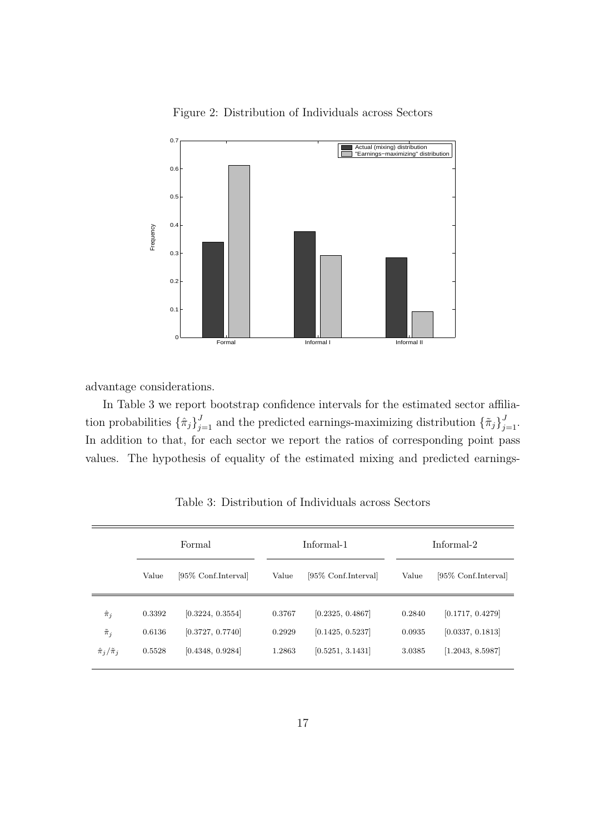

Figure 2: Distribution of Individuals across Sectors

advantage considerations.

In Table 3 we report bootstrap confidence intervals for the estimated sector affiliation probabilities  $\{\hat{\pi}_j\}_{j=1}^J$  and the predicted earnings-maximizing distribution  $\{\tilde{\pi}_j\}_{j=1}^J$ . In addition to that, for each sector we report the ratios of corresponding point pass values. The hypothesis of equality of the estimated mixing and predicted earnings-

|                                                | Formal           |                                      |                  | Informal-1                           |                  | Informal-2                           |  |  |
|------------------------------------------------|------------------|--------------------------------------|------------------|--------------------------------------|------------------|--------------------------------------|--|--|
|                                                | Value            | [95\% Conf.Interval]                 | Value            | [95\% Conf.Interval]                 | Value            | [95\% Conf.Interval]                 |  |  |
| $\hat{\pi}_j$                                  | 0.3392           | [0.3224, 0.3554]                     | 0.3767           | [0.2325, 0.4867]                     | 0.2840           | [0.1717, 0.4279]                     |  |  |
| $\tilde{\pi}_j$<br>$\hat{\pi}_i/\tilde{\pi}_i$ | 0.6136<br>0.5528 | [0.3727, 0.7740]<br>[0.4348, 0.9284] | 0.2929<br>1.2863 | [0.1425, 0.5237]<br>[0.5251, 3.1431] | 0.0935<br>3.0385 | [0.0337, 0.1813]<br>[1.2043, 8.5987] |  |  |

Table 3: Distribution of Individuals across Sectors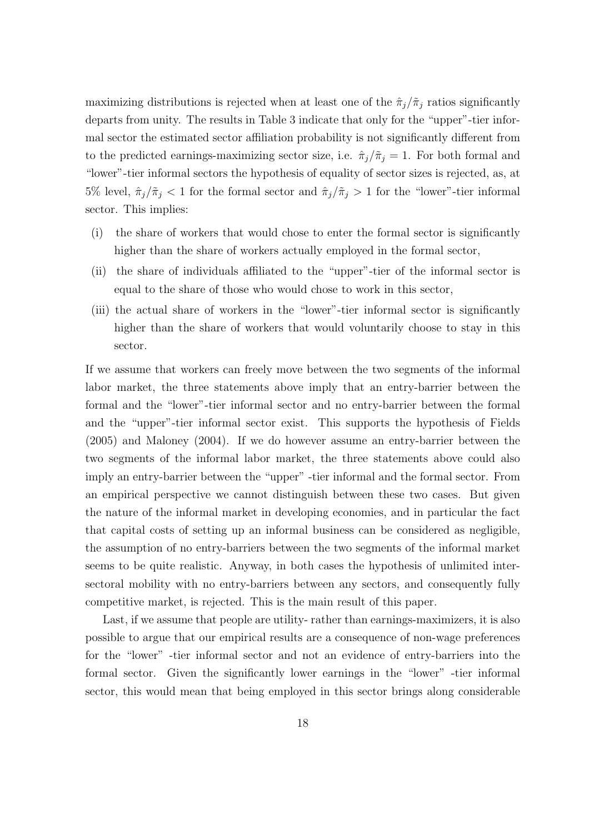maximizing distributions is rejected when at least one of the  $\hat{\pi}_j/\tilde{\pi}_j$  ratios significantly departs from unity. The results in Table 3 indicate that only for the "upper"-tier informal sector the estimated sector affiliation probability is not significantly different from to the predicted earnings-maximizing sector size, i.e.  $\hat{\pi}_j/\tilde{\pi}_j = 1$ . For both formal and "lower"-tier informal sectors the hypothesis of equality of sector sizes is rejected, as, at 5% level,  $\hat{\pi}_j/\tilde{\pi}_j < 1$  for the formal sector and  $\hat{\pi}_j/\tilde{\pi}_j > 1$  for the "lower"-tier informal sector. This implies:

- (i) the share of workers that would chose to enter the formal sector is significantly higher than the share of workers actually employed in the formal sector,
- (ii) the share of individuals affiliated to the "upper"-tier of the informal sector is equal to the share of those who would chose to work in this sector,
- (iii) the actual share of workers in the "lower"-tier informal sector is significantly higher than the share of workers that would voluntarily choose to stay in this sector.

If we assume that workers can freely move between the two segments of the informal labor market, the three statements above imply that an entry-barrier between the formal and the "lower"-tier informal sector and no entry-barrier between the formal and the "upper"-tier informal sector exist. This supports the hypothesis of Fields (2005) and Maloney (2004). If we do however assume an entry-barrier between the two segments of the informal labor market, the three statements above could also imply an entry-barrier between the "upper" -tier informal and the formal sector. From an empirical perspective we cannot distinguish between these two cases. But given the nature of the informal market in developing economies, and in particular the fact that capital costs of setting up an informal business can be considered as negligible, the assumption of no entry-barriers between the two segments of the informal market seems to be quite realistic. Anyway, in both cases the hypothesis of unlimited intersectoral mobility with no entry-barriers between any sectors, and consequently fully competitive market, is rejected. This is the main result of this paper.

Last, if we assume that people are utility- rather than earnings-maximizers, it is also possible to argue that our empirical results are a consequence of non-wage preferences for the "lower" -tier informal sector and not an evidence of entry-barriers into the formal sector. Given the significantly lower earnings in the "lower" -tier informal sector, this would mean that being employed in this sector brings along considerable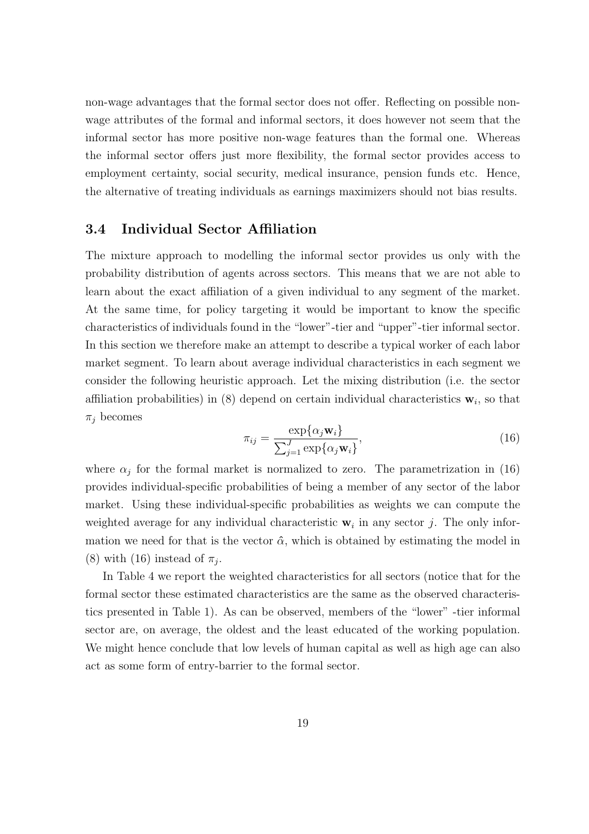non-wage advantages that the formal sector does not offer. Reflecting on possible nonwage attributes of the formal and informal sectors, it does however not seem that the informal sector has more positive non-wage features than the formal one. Whereas the informal sector offers just more flexibility, the formal sector provides access to employment certainty, social security, medical insurance, pension funds etc. Hence, the alternative of treating individuals as earnings maximizers should not bias results.

#### 3.4 Individual Sector Affiliation

The mixture approach to modelling the informal sector provides us only with the probability distribution of agents across sectors. This means that we are not able to learn about the exact affiliation of a given individual to any segment of the market. At the same time, for policy targeting it would be important to know the specific characteristics of individuals found in the "lower"-tier and "upper"-tier informal sector. In this section we therefore make an attempt to describe a typical worker of each labor market segment. To learn about average individual characteristics in each segment we consider the following heuristic approach. Let the mixing distribution (i.e. the sector affiliation probabilities) in (8) depend on certain individual characteristics  $\mathbf{w}_i$ , so that  $\pi_i$  becomes

$$
\pi_{ij} = \frac{\exp\{\alpha_j \mathbf{w}_i\}}{\sum_{j=1}^J \exp\{\alpha_j \mathbf{w}_i\}},\tag{16}
$$

where  $\alpha_j$  for the formal market is normalized to zero. The parametrization in (16) provides individual-specific probabilities of being a member of any sector of the labor market. Using these individual-specific probabilities as weights we can compute the weighted average for any individual characteristic  $w_i$  in any sector j. The only information we need for that is the vector  $\hat{\alpha}$ , which is obtained by estimating the model in (8) with (16) instead of  $\pi_j$ .

In Table 4 we report the weighted characteristics for all sectors (notice that for the formal sector these estimated characteristics are the same as the observed characteristics presented in Table 1). As can be observed, members of the "lower" -tier informal sector are, on average, the oldest and the least educated of the working population. We might hence conclude that low levels of human capital as well as high age can also act as some form of entry-barrier to the formal sector.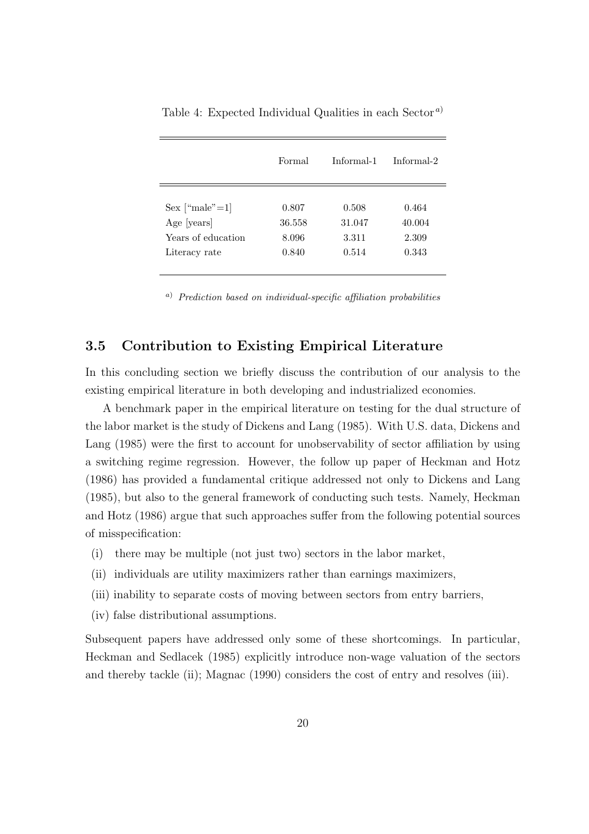|                    | Formal | Informal-1 | Informal-2 |
|--------------------|--------|------------|------------|
| Sex ["male" $=1$ ] | 0.807  | 0.508      | 0.464      |
| Age [years]        | 36.558 | 31.047     | 40.004     |
| Years of education | 8.096  | 3.311      | 2.309      |
| Literacy rate      | 0.840  | 0.514      | 0.343      |

Table 4: Expected Individual Qualities in each Sector <sup>a</sup>)

<sup>a</sup>) Prediction based on individual-specific affiliation probabilities

### 3.5 Contribution to Existing Empirical Literature

In this concluding section we briefly discuss the contribution of our analysis to the existing empirical literature in both developing and industrialized economies.

A benchmark paper in the empirical literature on testing for the dual structure of the labor market is the study of Dickens and Lang (1985). With U.S. data, Dickens and Lang (1985) were the first to account for unobservability of sector affiliation by using a switching regime regression. However, the follow up paper of Heckman and Hotz (1986) has provided a fundamental critique addressed not only to Dickens and Lang (1985), but also to the general framework of conducting such tests. Namely, Heckman and Hotz (1986) argue that such approaches suffer from the following potential sources of misspecification:

- (i) there may be multiple (not just two) sectors in the labor market,
- (ii) individuals are utility maximizers rather than earnings maximizers,
- (iii) inability to separate costs of moving between sectors from entry barriers,
- (iv) false distributional assumptions.

Subsequent papers have addressed only some of these shortcomings. In particular, Heckman and Sedlacek (1985) explicitly introduce non-wage valuation of the sectors and thereby tackle (ii); Magnac (1990) considers the cost of entry and resolves (iii).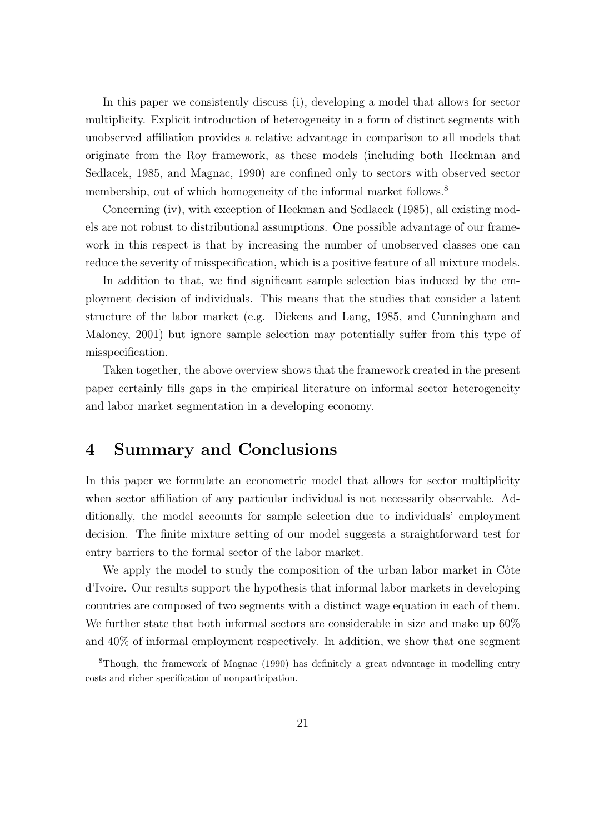In this paper we consistently discuss (i), developing a model that allows for sector multiplicity. Explicit introduction of heterogeneity in a form of distinct segments with unobserved affiliation provides a relative advantage in comparison to all models that originate from the Roy framework, as these models (including both Heckman and Sedlacek, 1985, and Magnac, 1990) are confined only to sectors with observed sector membership, out of which homogeneity of the informal market follows.<sup>8</sup>

Concerning (iv), with exception of Heckman and Sedlacek (1985), all existing models are not robust to distributional assumptions. One possible advantage of our framework in this respect is that by increasing the number of unobserved classes one can reduce the severity of misspecification, which is a positive feature of all mixture models.

In addition to that, we find significant sample selection bias induced by the employment decision of individuals. This means that the studies that consider a latent structure of the labor market (e.g. Dickens and Lang, 1985, and Cunningham and Maloney, 2001) but ignore sample selection may potentially suffer from this type of misspecification.

Taken together, the above overview shows that the framework created in the present paper certainly fills gaps in the empirical literature on informal sector heterogeneity and labor market segmentation in a developing economy.

### 4 Summary and Conclusions

In this paper we formulate an econometric model that allows for sector multiplicity when sector affiliation of any particular individual is not necessarily observable. Additionally, the model accounts for sample selection due to individuals' employment decision. The finite mixture setting of our model suggests a straightforward test for entry barriers to the formal sector of the labor market.

We apply the model to study the composition of the urban labor market in Côte d'Ivoire. Our results support the hypothesis that informal labor markets in developing countries are composed of two segments with a distinct wage equation in each of them. We further state that both informal sectors are considerable in size and make up 60% and 40% of informal employment respectively. In addition, we show that one segment

<sup>8</sup>Though, the framework of Magnac (1990) has definitely a great advantage in modelling entry costs and richer specification of nonparticipation.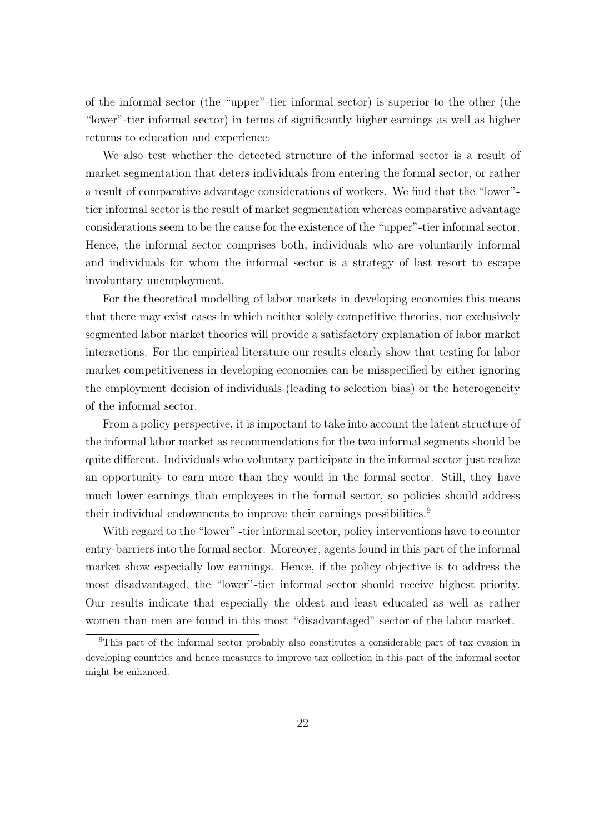of the informal sector (the "upper"-tier informal sector) is superior to the other (the "lower"-tier informal sector) in terms of significantly higher earnings as well as higher returns to education and experience.

We also test whether the detected structure of the informal sector is a result of market segmentation that deters individuals from entering the formal sector, or rather a result of comparative advantage considerations of workers. We find that the "lower" tier informal sector is the result of market segmentation whereas comparative advantage considerations seem to be the cause for the existence of the "upper"-tier informal sector. Hence, the informal sector comprises both, individuals who are voluntarily informal and individuals for whom the informal sector is a strategy of last resort to escape involuntary unemployment.

For the theoretical modelling of labor markets in developing economies this means that there may exist cases in which neither solely competitive theories, nor exclusively segmented labor market theories will provide a satisfactory explanation of labor market interactions. For the empirical literature our results clearly show that testing for labor market competitiveness in developing economies can be misspecified by either ignoring the employment decision of individuals (leading to selection bias) or the heterogeneity of the informal sector.

From a policy perspective, it is important to take into account the latent structure of the informal labor market as recommendations for the two informal segments should be quite different. Individuals who voluntary participate in the informal sector just realize an opportunity to earn more than they would in the formal sector. Still, they have much lower earnings than employees in the formal sector, so policies should address their individual endowments to improve their earnings possibilities.<sup>9</sup>

With regard to the "lower" -tier informal sector, policy interventions have to counter entry-barriers into the formal sector. Moreover, agents found in this part of the informal market show especially low earnings. Hence, if the policy objective is to address the most disadvantaged, the "lower"-tier informal sector should receive highest priority. Our results indicate that especially the oldest and least educated as well as rather women than men are found in this most "disadvantaged" sector of the labor market.

<sup>9</sup>This part of the informal sector probably also constitutes a considerable part of tax evasion in developing countries and hence measures to improve tax collection in this part of the informal sector might be enhanced.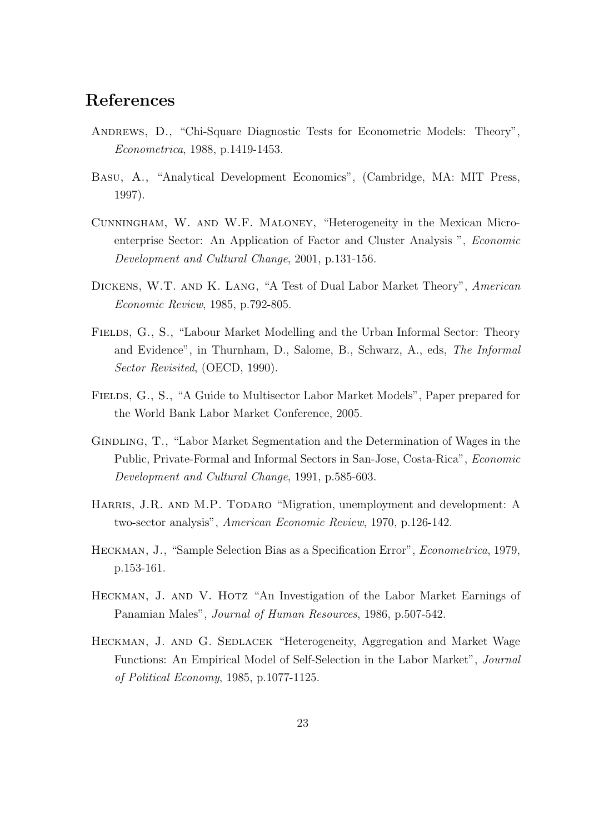## References

- Andrews, D., "Chi-Square Diagnostic Tests for Econometric Models: Theory", Econometrica, 1988, p.1419-1453.
- Basu, A., "Analytical Development Economics", (Cambridge, MA: MIT Press, 1997).
- Cunningham, W. and W.F. Maloney, "Heterogeneity in the Mexican Microenterprise Sector: An Application of Factor and Cluster Analysis ", Economic Development and Cultural Change, 2001, p.131-156.
- Dickens, W.T. and K. Lang, "A Test of Dual Labor Market Theory", American Economic Review, 1985, p.792-805.
- FIELDS, G., S., "Labour Market Modelling and the Urban Informal Sector: Theory and Evidence", in Thurnham, D., Salome, B., Schwarz, A., eds, The Informal Sector Revisited, (OECD, 1990).
- FIELDS, G., S., "A Guide to Multisector Labor Market Models", Paper prepared for the World Bank Labor Market Conference, 2005.
- Gindling, T., "Labor Market Segmentation and the Determination of Wages in the Public, Private-Formal and Informal Sectors in San-Jose, Costa-Rica", Economic Development and Cultural Change, 1991, p.585-603.
- HARRIS, J.R. AND M.P. TODARO "Migration, unemployment and development: A two-sector analysis", American Economic Review, 1970, p.126-142.
- Heckman, J., "Sample Selection Bias as a Specification Error", Econometrica, 1979, p.153-161.
- HECKMAN, J. AND V. HOTZ "An Investigation of the Labor Market Earnings of Panamian Males", Journal of Human Resources, 1986, p.507-542.
- HECKMAN, J. AND G. SEDLACEK "Heterogeneity, Aggregation and Market Wage Functions: An Empirical Model of Self-Selection in the Labor Market", Journal of Political Economy, 1985, p.1077-1125.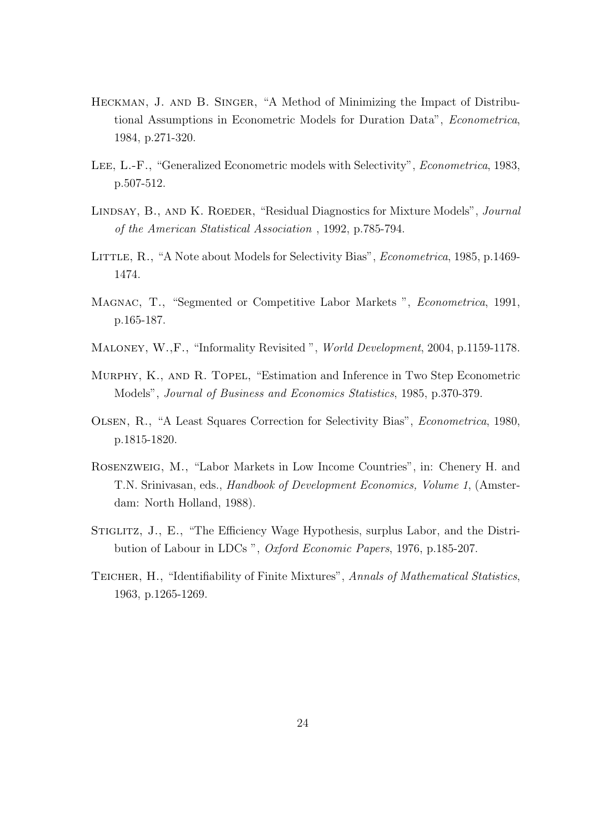- Heckman, J. and B. Singer, "A Method of Minimizing the Impact of Distributional Assumptions in Econometric Models for Duration Data", Econometrica, 1984, p.271-320.
- Lee, L.-F., "Generalized Econometric models with Selectivity", Econometrica, 1983, p.507-512.
- LINDSAY, B., AND K. ROEDER, "Residual Diagnostics for Mixture Models", *Journal* of the American Statistical Association , 1992, p.785-794.
- LITTLE, R., "A Note about Models for Selectivity Bias", *Econometrica*, 1985, p.1469-1474.
- Magnac, T., "Segmented or Competitive Labor Markets ", Econometrica, 1991, p.165-187.
- Maloney, W.,F., "Informality Revisited ", World Development, 2004, p.1159-1178.
- Murphy, K., and R. Topel, "Estimation and Inference in Two Step Econometric Models", Journal of Business and Economics Statistics, 1985, p.370-379.
- Olsen, R., "A Least Squares Correction for Selectivity Bias", Econometrica, 1980, p.1815-1820.
- Rosenzweig, M., "Labor Markets in Low Income Countries", in: Chenery H. and T.N. Srinivasan, eds., Handbook of Development Economics, Volume 1, (Amsterdam: North Holland, 1988).
- STIGLITZ, J., E., "The Efficiency Wage Hypothesis, surplus Labor, and the Distribution of Labour in LDCs ", Oxford Economic Papers, 1976, p.185-207.
- TEICHER, H., "Identifiability of Finite Mixtures", Annals of Mathematical Statistics, 1963, p.1265-1269.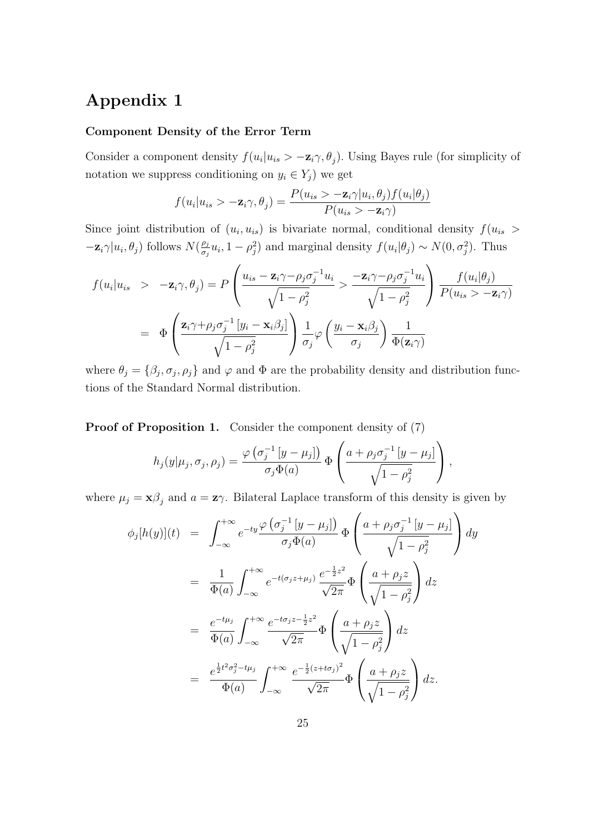## Appendix 1

#### Component Density of the Error Term

Consider a component density  $f(u_i|u_{is} > -\mathbf{z}_i\gamma, \theta_j)$ . Using Bayes rule (for simplicity of notation we suppress conditioning on  $y_i \in Y_j$ ) we get

$$
f(u_i|u_{is} > -\mathbf{z}_i\gamma, \theta_j) = \frac{P(u_{is} > -\mathbf{z}_i\gamma|u_i, \theta_j)f(u_i|\theta_j)}{P(u_{is} > -\mathbf{z}_i\gamma)}
$$

Since joint distribution of  $(u_i, u_{is})$  is bivariate normal, conditional density  $f(u_{is} >$  $-\mathbf{z}_i\gamma|u_i, \theta_j)$  follows  $N(\frac{\rho_j}{\sigma_j})$  $\frac{\rho_j}{\sigma_j} u_i$ , 1 –  $\rho_j^2$ ) and marginal density  $f(u_i|\theta_j) \sim N(0, \sigma_j^2)$ . Thus

$$
f(u_i|u_{is} > -\mathbf{z}_i\gamma, \theta_j) = P\left(\frac{u_{is} - \mathbf{z}_i\gamma - \rho_j\sigma_j^{-1}u_i}{\sqrt{1 - \rho_j^2}} > \frac{-\mathbf{z}_i\gamma - \rho_j\sigma_j^{-1}u_i}{\sqrt{1 - \rho_j^2}}\right) \frac{f(u_i|\theta_j)}{P(u_{is} > -\mathbf{z}_i\gamma)}
$$
  
= 
$$
\Phi\left(\frac{\mathbf{z}_i\gamma + \rho_j\sigma_j^{-1}[y_i - \mathbf{x}_i\beta_j]}{\sqrt{1 - \rho_j^2}}\right) \frac{1}{\sigma_j} \varphi\left(\frac{y_i - \mathbf{x}_i\beta_j}{\sigma_j}\right) \frac{1}{\Phi(\mathbf{z}_i\gamma)}
$$

where  $\theta_j = \{\beta_j, \sigma_j, \rho_j\}$  and  $\varphi$  and  $\Phi$  are the probability density and distribution functions of the Standard Normal distribution.

Proof of Proposition 1. Consider the component density of  $(7)$  $\overline{\phantom{a}}$ 

$$
h_j(y|\mu_j, \sigma_j, \rho_j) = \frac{\varphi(\sigma_j^{-1}[y-\mu_j])}{\sigma_j \Phi(a)} \Phi\left(\frac{a+\rho_j \sigma_j^{-1}[y-\mu_j]}{\sqrt{1-\rho_j^2}}\right),
$$

where  $\mu_j = \mathbf{x}\beta_j$  and  $a = \mathbf{z}\gamma$ . Bilateral Laplace transform of this density is given by  $\mathcal{L}$ 

$$
\phi_j[h(y)](t) = \int_{-\infty}^{+\infty} e^{-ty} \frac{\varphi(\sigma_j^{-1} [y - \mu_j])}{\sigma_j \Phi(a)} \Phi\left(\frac{a + \rho_j \sigma_j^{-1} [y - \mu_j]}{\sqrt{1 - \rho_j^2}}\right) dy
$$
  
\n
$$
= \frac{1}{\Phi(a)} \int_{-\infty}^{+\infty} e^{-t(\sigma_j z + \mu_j)} \frac{e^{-\frac{1}{2}z^2}}{\sqrt{2\pi}} \Phi\left(\frac{a + \rho_j z}{\sqrt{1 - \rho_j^2}}\right) dz
$$
  
\n
$$
= \frac{e^{-t\mu_j}}{\Phi(a)} \int_{-\infty}^{+\infty} \frac{e^{-t\sigma_j z - \frac{1}{2}z^2}}{\sqrt{2\pi}} \Phi\left(\frac{a + \rho_j z}{\sqrt{1 - \rho_j^2}}\right) dz
$$
  
\n
$$
= \frac{e^{\frac{1}{2}t^2 \sigma_j^2 - t\mu_j}}{\Phi(a)} \int_{-\infty}^{+\infty} \frac{e^{-\frac{1}{2}(z + t\sigma_j)^2}}{\sqrt{2\pi}} \Phi\left(\frac{a + \rho_j z}{\sqrt{1 - \rho_j^2}}\right) dz.
$$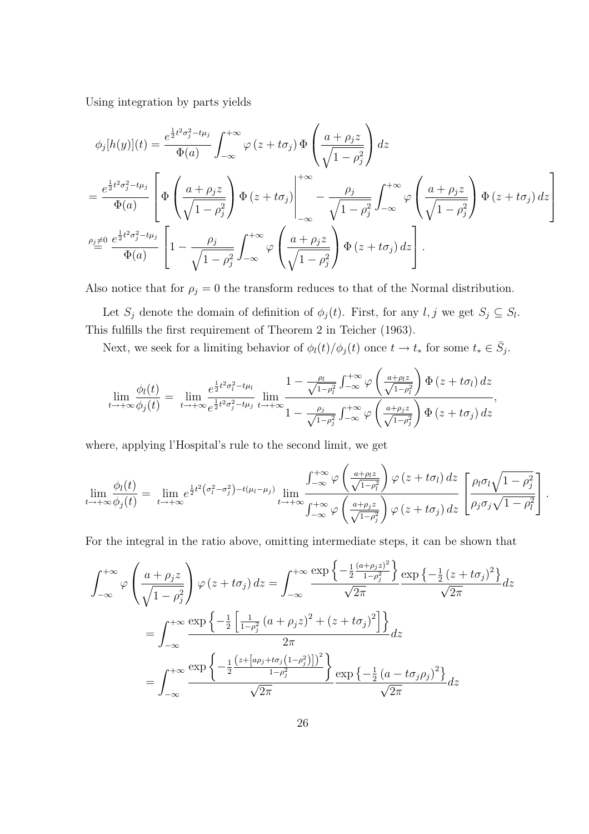Using integration by parts yields

$$
\phi_j[h(y)](t) = \frac{e^{\frac{1}{2}t^2\sigma_j^2 - t\mu_j}}{\Phi(a)} \int_{-\infty}^{+\infty} \varphi(z + t\sigma_j) \Phi\left(\frac{a + \rho_j z}{\sqrt{1 - \rho_j^2}}\right) dz
$$
  
\n
$$
= \frac{e^{\frac{1}{2}t^2\sigma_j^2 - t\mu_j}}{\Phi(a)} \left[ \Phi\left(\frac{a + \rho_j z}{\sqrt{1 - \rho_j^2}}\right) \Phi(z + t\sigma_j) \Big|_{-\infty}^{+\infty} - \frac{\rho_j}{\sqrt{1 - \rho_j^2}} \int_{-\infty}^{+\infty} \varphi\left(\frac{a + \rho_j z}{\sqrt{1 - \rho_j^2}}\right) \Phi(z + t\sigma_j) dz \right]
$$
  
\n
$$
\rho_j \neq 0 \frac{e^{\frac{1}{2}t^2\sigma_j^2 - t\mu_j}}{\Phi(a)} \left[ 1 - \frac{\rho_j}{\sqrt{1 - \rho_j^2}} \int_{-\infty}^{+\infty} \varphi\left(\frac{a + \rho_j z}{\sqrt{1 - \rho_j^2}}\right) \Phi(z + t\sigma_j) dz \right].
$$

Also notice that for  $\rho_j = 0$  the transform reduces to that of the Normal distribution.

Let  $S_j$  denote the domain of definition of  $\phi_j(t)$ . First, for any  $l, j$  we get  $S_j \subseteq S_l$ . This fulfills the first requirement of Theorem 2 in Teicher (1963).

Next, we seek for a limiting behavior of  $\phi_l(t)/\phi_j(t)$  once  $t \to t_*$  for some  $t_* \in \overline{S}_j$ .

$$
\lim_{t \to +\infty} \frac{\phi_l(t)}{\phi_j(t)} = \lim_{t \to +\infty} \frac{e^{\frac{1}{2}t^2 \sigma_l^2 - t\mu_l}}{e^{\frac{1}{2}t^2 \sigma_j^2 - t\mu_j}} \lim_{t \to +\infty} \frac{1 - \frac{\rho_l}{\sqrt{1 - \rho_l^2}} \int_{-\infty}^{+\infty} \varphi\left(\frac{a + \rho_l z}{\sqrt{1 - \rho_l^2}}\right) \Phi\left(z + t\sigma_l\right) dz}{1 - \frac{\rho_j}{\sqrt{1 - \rho_j^2}} \int_{-\infty}^{+\infty} \varphi\left(\frac{a + \rho_j z}{\sqrt{1 - \rho_j^2}}\right) \Phi\left(z + t\sigma_j\right) dz},
$$

where, applying l'Hospital's rule to the second limit, we get

$$
\lim_{t \to +\infty} \frac{\phi_l(t)}{\phi_j(t)} = \lim_{t \to +\infty} e^{\frac{1}{2}t^2(\sigma_l^2 - \sigma_j^2) - t(\mu_l - \mu_j)} \lim_{t \to +\infty} \frac{\int_{-\infty}^{+\infty} \varphi\left(\frac{a + \rho_l z}{\sqrt{1 - \rho_l^2}}\right) \varphi\left(z + t\sigma_l\right) dz}{\int_{-\infty}^{+\infty} \varphi\left(\frac{a + \rho_j z}{\sqrt{1 - \rho_j^2}}\right) \varphi\left(z + t\sigma_j\right) dz} \left[ \frac{\rho_l \sigma_l \sqrt{1 - \rho_j^2}}{\rho_j \sigma_j \sqrt{1 - \rho_l^2}} \right].
$$

For the integral in the ratio above, omitting intermediate steps, it can be shown that

$$
\int_{-\infty}^{+\infty} \varphi \left( \frac{a + \rho_j z}{\sqrt{1 - \rho_j^2}} \right) \varphi \left( z + t \sigma_j \right) dz = \int_{-\infty}^{+\infty} \frac{\exp \left\{ -\frac{1}{2} \frac{(a + \rho_j z)^2}{1 - \rho_j^2} \right\}}{\sqrt{2\pi}} \frac{\exp \left\{ -\frac{1}{2} \left( z + t \sigma_j \right)^2 \right\}}{\sqrt{2\pi}} dz
$$

$$
= \int_{-\infty}^{+\infty} \frac{\exp \left\{ -\frac{1}{2} \left[ \frac{1}{1 - \rho_j^2} \left( a + \rho_j z \right)^2 + \left( z + t \sigma_j \right)^2 \right] \right\}}{2\pi} dz
$$

$$
= \int_{-\infty}^{+\infty} \frac{\exp \left\{ -\frac{1}{2} \frac{\left( z + \left[ a\rho_j + t \sigma_j \left( 1 - \rho_j^2 \right) \right] \right)^2}{1 - \rho_j^2} \right\}}{\sqrt{2\pi}} \frac{\exp \left\{ -\frac{1}{2} \left( a - t \sigma_j \rho_j \right)^2 \right\}}{\sqrt{2\pi}} dz
$$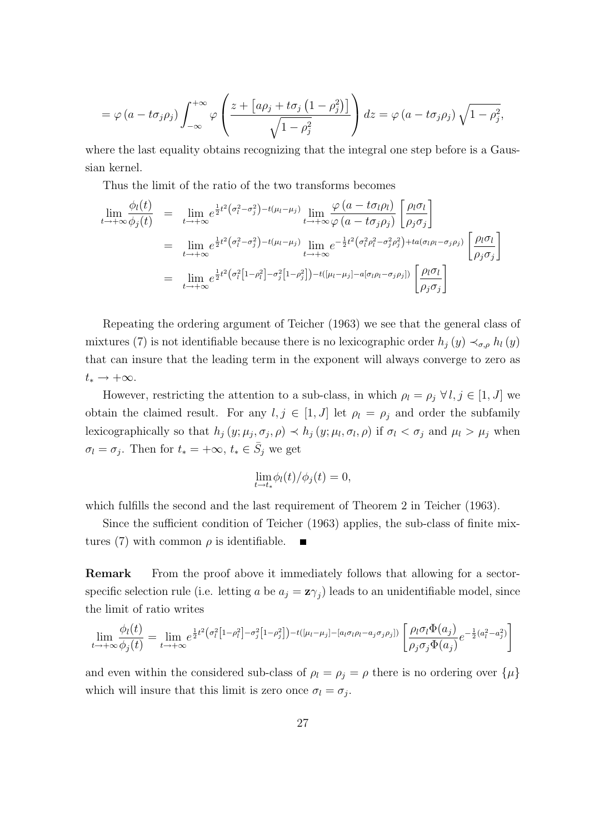$$
= \varphi (a - t \sigma_j \rho_j) \int_{-\infty}^{+\infty} \varphi \left( \frac{z + \left[ a \rho_j + t \sigma_j \left( 1 - \rho_j^2 \right) \right]}{\sqrt{1 - \rho_j^2}} \right) dz = \varphi (a - t \sigma_j \rho_j) \sqrt{1 - \rho_j^2},
$$

where the last equality obtains recognizing that the integral one step before is a Gaussian kernel.

Thus the limit of the ratio of the two transforms becomes

$$
\lim_{t \to +\infty} \frac{\phi_l(t)}{\phi_j(t)} = \lim_{t \to +\infty} e^{\frac{1}{2}t^2(\sigma_l^2 - \sigma_j^2) - t(\mu_l - \mu_j)} \lim_{t \to +\infty} \frac{\varphi(a - t\sigma_l \rho_l)}{\varphi(a - t\sigma_j \rho_j)} \left[ \frac{\rho_l \sigma_l}{\rho_j \sigma_j} \right]
$$
\n
$$
= \lim_{t \to +\infty} e^{\frac{1}{2}t^2(\sigma_l^2 - \sigma_j^2) - t(\mu_l - \mu_j)} \lim_{t \to +\infty} e^{-\frac{1}{2}t^2(\sigma_l^2 \rho_l^2 - \sigma_j^2 \rho_j^2) + ta(\sigma_l \rho_l - \sigma_j \rho_j)} \left[ \frac{\rho_l \sigma_l}{\rho_j \sigma_j} \right]
$$
\n
$$
= \lim_{t \to +\infty} e^{\frac{1}{2}t^2(\sigma_l^2[1-\rho_l^2] - \sigma_j^2[1-\rho_j^2]) - t([\mu_l - \mu_j] - a[\sigma_l \rho_l - \sigma_j \rho_j])} \left[ \frac{\rho_l \sigma_l}{\rho_j \sigma_j} \right]
$$

Repeating the ordering argument of Teicher (1963) we see that the general class of mixtures (7) is not identifiable because there is no lexicographic order  $h_j(y) \prec_{\sigma,\rho} h_l(y)$ that can insure that the leading term in the exponent will always converge to zero as  $t_* \rightarrow +\infty$ .

However, restricting the attention to a sub-class, in which  $\rho_l = \rho_j \,\forall l, j \in [1, J]$  we obtain the claimed result. For any  $l, j \in [1, J]$  let  $\rho_l = \rho_j$  and order the subfamily lexicographically so that  $h_j(y; \mu_j, \sigma_j, \rho) \prec h_j(y; \mu_l, \sigma_l, \rho)$  if  $\sigma_l < \sigma_j$  and  $\mu_l > \mu_j$  when  $\sigma_l = \sigma_j$ . Then for  $t_* = +\infty$ ,  $t_* \in \overline{S}_j$  we get

$$
\lim_{t \to t_*} \phi_l(t) / \phi_j(t) = 0,
$$

which fulfills the second and the last requirement of Theorem 2 in Teicher (1963).

Since the sufficient condition of Teicher (1963) applies, the sub-class of finite mixtures (7) with common  $\rho$  is identifiable. п

Remark From the proof above it immediately follows that allowing for a sectorspecific selection rule (i.e. letting a be  $a_j = \mathbf{z}\gamma_j$ ) leads to an unidentifiable model, since the limit of ratio writes

$$
\lim_{t \to +\infty} \frac{\phi_l(t)}{\phi_j(t)} = \lim_{t \to +\infty} e^{\frac{1}{2}t^2 \left(\sigma_l^2 \left[1 - \rho_l^2\right] - \sigma_j^2 \left[1 - \rho_j^2\right]\right) - t\left(\left[\mu_l - \mu_j\right] - \left[a_l \sigma_l \rho_l - a_j \sigma_j \rho_j\right]\right)} \left[\frac{\rho_l \sigma_l \Phi(a_j)}{\rho_j \sigma_j \Phi(a_j)} e^{-\frac{1}{2} \left(a_l^2 - a_j^2\right)}\right]
$$

and even within the considered sub-class of  $\rho_l = \rho_j = \rho$  there is no ordering over  $\{\mu\}$ which will insure that this limit is zero once  $\sigma_l = \sigma_j$ .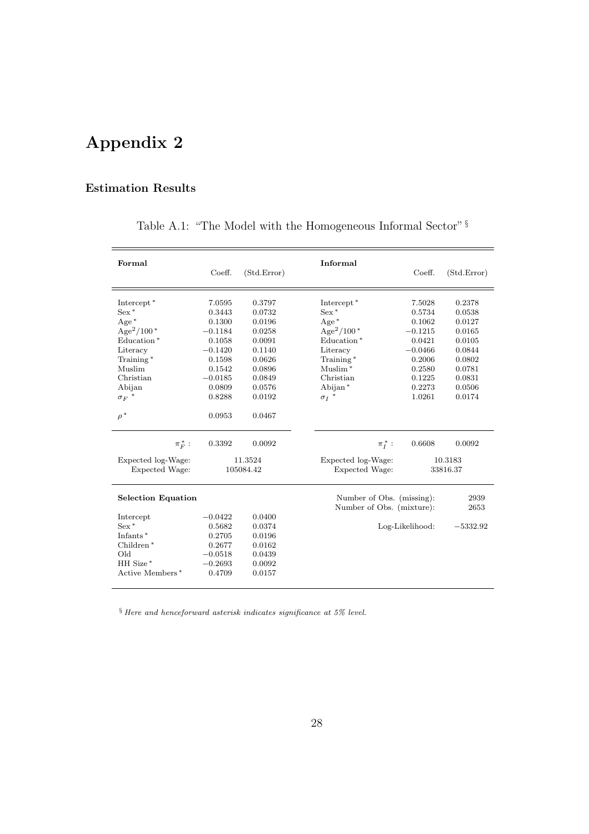# Appendix 2

### Estimation Results

| Coeff.    | (Std.Error) | Informal           | Coeff.                                 | (Std.Error)                                                               |
|-----------|-------------|--------------------|----------------------------------------|---------------------------------------------------------------------------|
| 7.0595    | 0.3797      |                    | 7.5028                                 | 0.2378                                                                    |
|           | 0.0732      | $Sex *$            | 0.5734                                 | 0.0538                                                                    |
| 0.1300    | 0.0196      | $Age*$             | 0.1062                                 | 0.0127                                                                    |
| $-0.1184$ | 0.0258      |                    | $-0.1215$                              | 0.0165                                                                    |
| 0.1058    | 0.0091      | Education*         | 0.0421                                 | 0.0105                                                                    |
| $-0.1420$ | 0.1140      | Literacy           | $-0.0466$                              | 0.0844                                                                    |
| 0.1598    | 0.0626      | Training*          | 0.2006                                 | 0.0802                                                                    |
| 0.1542    | 0.0896      | $M$ uslim $*$      | 0.2580                                 | 0.0781                                                                    |
| $-0.0185$ | 0.0849      | Christian          | 0.1225                                 | 0.0831                                                                    |
| 0.0809    | 0.0576      | Abijan $*$         | 0.2273                                 | 0.0506                                                                    |
| 0.8288    | 0.0192      | ${\sigma_I}$ *     | 1.0261                                 | 0.0174                                                                    |
| 0.0953    | 0.0467      |                    |                                        |                                                                           |
| 0.3392    | 0.0092      | $\pi_I^*$ :        | 0.6608                                 | 0.0092                                                                    |
|           |             | Expected log-Wage: |                                        | 10.3183                                                                   |
| 105084.42 |             | Expected Wage:     | 33816.37                               |                                                                           |
|           |             |                    |                                        | 2939                                                                      |
|           |             |                    |                                        | 2653                                                                      |
| $-0.0422$ | 0.0400      |                    |                                        |                                                                           |
| 0.5682    | 0.0374      |                    |                                        | $-5332.92$                                                                |
| 0.2705    | 0.0196      |                    |                                        |                                                                           |
| 0.2677    | 0.0162      |                    |                                        |                                                                           |
| $-0.0518$ | 0.0439      |                    |                                        |                                                                           |
| $-0.2693$ | 0.0092      |                    |                                        |                                                                           |
| 0.4709    | 0.0157      |                    |                                        |                                                                           |
|           | 0.3443      | 11.3524            | Intercept <sup>*</sup><br>$Age^2/100*$ | Number of Obs. (missing):<br>Number of Obs. (mixture):<br>Log-Likelihood: |

Table A.1: "The Model with the Homogeneous Informal Sector"  $\S$ 

 $\S$  Here and henceforward asterisk indicates significance at 5% level.